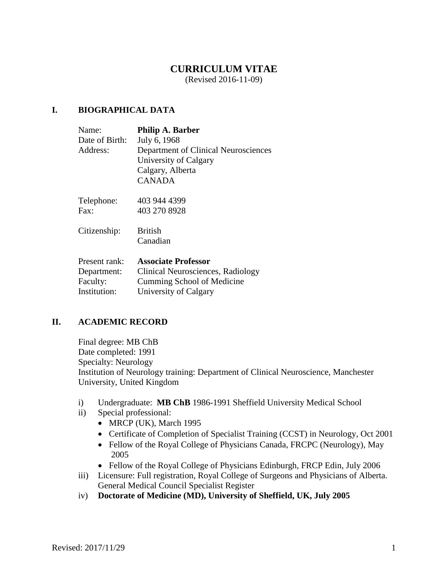# **CURRICULUM VITAE**

(Revised 2016-11-09)

## **I. BIOGRAPHICAL DATA**

| Name:          | <b>Philip A. Barber</b>              |
|----------------|--------------------------------------|
| Date of Birth: | July 6, 1968                         |
| Address:       | Department of Clinical Neurosciences |
|                | University of Calgary                |
|                | Calgary, Alberta                     |
|                | <b>CANADA</b>                        |
|                |                                      |

| Telephone: | 403 944 4399 |
|------------|--------------|
| Fax:       | 403 270 8928 |

Citizenship: British Canadian

| Present rank: | <b>Associate Professor</b>        |
|---------------|-----------------------------------|
| Department:   | Clinical Neurosciences, Radiology |
| Faculty:      | Cumming School of Medicine        |
| Institution:  | University of Calgary             |

### **II. ACADEMIC RECORD**

Final degree: MB ChB Date completed: 1991 Specialty: Neurology Institution of Neurology training: Department of Clinical Neuroscience, Manchester University, United Kingdom

- i) Undergraduate: **MB ChB** 1986-1991 Sheffield University Medical School
- ii) Special professional:
	- $\bullet$  MRCP (UK), March 1995
	- Certificate of Completion of Specialist Training (CCST) in Neurology, Oct 2001
	- Fellow of the Royal College of Physicians Canada, FRCPC (Neurology), May 2005
	- Fellow of the Royal College of Physicians Edinburgh, FRCP Edin, July 2006
- iii) Licensure: Full registration, Royal College of Surgeons and Physicians of Alberta. General Medical Council Specialist Register
- iv) **Doctorate of Medicine (MD), University of Sheffield, UK, July 2005**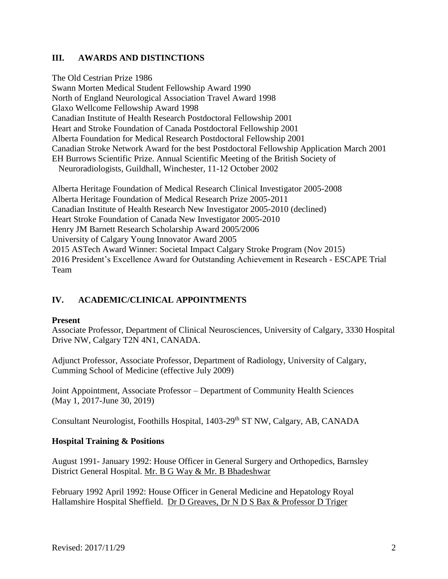## **III. AWARDS AND DISTINCTIONS**

The Old Cestrian Prize 1986 Swann Morten Medical Student Fellowship Award 1990 North of England Neurological Association Travel Award 1998 Glaxo Wellcome Fellowship Award 1998 Canadian Institute of Health Research Postdoctoral Fellowship 2001 Heart and Stroke Foundation of Canada Postdoctoral Fellowship 2001 Alberta Foundation for Medical Research Postdoctoral Fellowship 2001 Canadian Stroke Network Award for the best Postdoctoral Fellowship Application March 2001 EH Burrows Scientific Prize. Annual Scientific Meeting of the British Society of Neuroradiologists, Guildhall, Winchester, 11-12 October 2002

Alberta Heritage Foundation of Medical Research Clinical Investigator 2005-2008 Alberta Heritage Foundation of Medical Research Prize 2005-2011 Canadian Institute of Health Research New Investigator 2005-2010 (declined) Heart Stroke Foundation of Canada New Investigator 2005-2010 Henry JM Barnett Research Scholarship Award 2005/2006 University of Calgary Young Innovator Award 2005 2015 ASTech Award Winner: Societal Impact Calgary Stroke Program (Nov 2015) 2016 President's Excellence Award for Outstanding Achievement in Research - ESCAPE Trial Team

# **IV. ACADEMIC/CLINICAL APPOINTMENTS**

### **Present**

Associate Professor, Department of Clinical Neurosciences, University of Calgary, 3330 Hospital Drive NW, Calgary T2N 4N1, CANADA.

Adjunct Professor, Associate Professor, Department of Radiology, University of Calgary, Cumming School of Medicine (effective July 2009)

Joint Appointment, Associate Professor – Department of Community Health Sciences (May 1, 2017-June 30, 2019)

Consultant Neurologist, Foothills Hospital, 1403-29<sup>th</sup> ST NW, Calgary, AB, CANADA

### **Hospital Training & Positions**

August 1991- January 1992: House Officer in General Surgery and Orthopedics, Barnsley District General Hospital. Mr. B G Way & Mr. B Bhadeshwar

February 1992 April 1992: House Officer in General Medicine and Hepatology Royal Hallamshire Hospital Sheffield. Dr D Greaves, Dr N D S Bax & Professor D Triger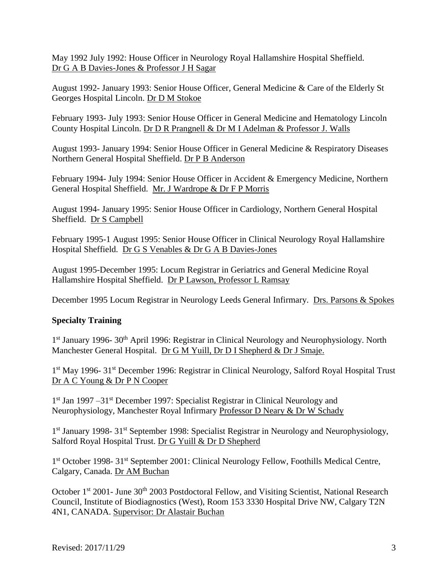May 1992 July 1992: House Officer in Neurology Royal Hallamshire Hospital Sheffield. Dr G A B Davies-Jones & Professor J H Sagar

August 1992- January 1993: Senior House Officer, General Medicine & Care of the Elderly St Georges Hospital Lincoln. Dr D M Stokoe

February 1993- July 1993: Senior House Officer in General Medicine and Hematology Lincoln County Hospital Lincoln. Dr D R Prangnell & Dr M I Adelman & Professor J. Walls

August 1993- January 1994: Senior House Officer in General Medicine & Respiratory Diseases Northern General Hospital Sheffield. Dr P B Anderson

February 1994- July 1994: Senior House Officer in Accident & Emergency Medicine, Northern General Hospital Sheffield. Mr. J Wardrope & Dr F P Morris

August 1994- January 1995: Senior House Officer in Cardiology, Northern General Hospital Sheffield. Dr S Campbell

February 1995-1 August 1995: Senior House Officer in Clinical Neurology Royal Hallamshire Hospital Sheffield. Dr G S Venables & Dr G A B Davies-Jones

August 1995-December 1995: Locum Registrar in Geriatrics and General Medicine Royal Hallamshire Hospital Sheffield. Dr P Lawson, Professor L Ramsay

December 1995 Locum Registrar in Neurology Leeds General Infirmary. Drs. Parsons & Spokes

### **Specialty Training**

1<sup>st</sup> January 1996- 30<sup>th</sup> April 1996: Registrar in Clinical Neurology and Neurophysiology. North Manchester General Hospital. Dr G M Yuill, Dr D I Shepherd & Dr J Smaje.

1<sup>st</sup> May 1996- 31<sup>st</sup> December 1996: Registrar in Clinical Neurology, Salford Royal Hospital Trust Dr A C Young & Dr P N Cooper

1<sup>st</sup> Jan 1997 –31<sup>st</sup> December 1997: Specialist Registrar in Clinical Neurology and Neurophysiology, Manchester Royal Infirmary Professor D Neary & Dr W Schady

1<sup>st</sup> January 1998- 31<sup>st</sup> September 1998: Specialist Registrar in Neurology and Neurophysiology, Salford Royal Hospital Trust. Dr G Yuill & Dr D Shepherd

1<sup>st</sup> October 1998- 31<sup>st</sup> September 2001: Clinical Neurology Fellow, Foothills Medical Centre, Calgary, Canada. Dr AM Buchan

October 1<sup>st</sup> 2001- June 30<sup>th</sup> 2003 Postdoctoral Fellow, and Visiting Scientist, National Research Council, Institute of Biodiagnostics (West), Room 153 3330 Hospital Drive NW, Calgary T2N 4N1, CANADA. Supervisor: Dr Alastair Buchan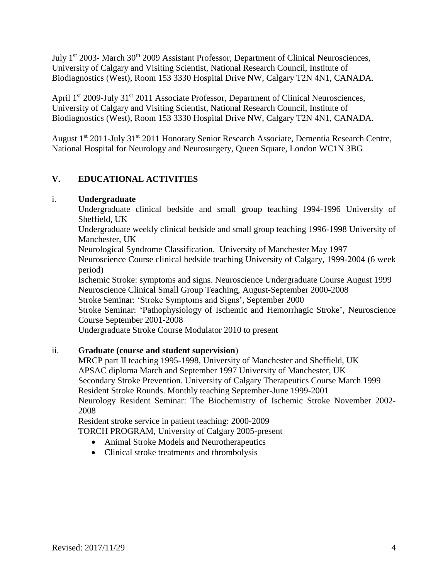July 1<sup>st</sup> 2003- March 30<sup>th</sup> 2009 Assistant Professor, Department of Clinical Neurosciences, University of Calgary and Visiting Scientist, National Research Council, Institute of Biodiagnostics (West), Room 153 3330 Hospital Drive NW, Calgary T2N 4N1, CANADA.

April 1<sup>st</sup> 2009-July 31<sup>st</sup> 2011 Associate Professor, Department of Clinical Neurosciences, University of Calgary and Visiting Scientist, National Research Council, Institute of Biodiagnostics (West), Room 153 3330 Hospital Drive NW, Calgary T2N 4N1, CANADA.

August 1<sup>st</sup> 2011-July 31<sup>st</sup> 2011 Honorary Senior Research Associate, Dementia Research Centre, National Hospital for Neurology and Neurosurgery, Queen Square, London WC1N 3BG

# **V. EDUCATIONAL ACTIVITIES**

# i. **Undergraduate**

Undergraduate clinical bedside and small group teaching 1994-1996 University of Sheffield, UK

Undergraduate weekly clinical bedside and small group teaching 1996-1998 University of Manchester, UK

Neurological Syndrome Classification. University of Manchester May 1997 Neuroscience Course clinical bedside teaching University of Calgary, 1999-2004 (6 week period)

Ischemic Stroke: symptoms and signs. Neuroscience Undergraduate Course August 1999 Neuroscience Clinical Small Group Teaching, August-September 2000-2008

Stroke Seminar: 'Stroke Symptoms and Signs', September 2000

Stroke Seminar: 'Pathophysiology of Ischemic and Hemorrhagic Stroke', Neuroscience Course September 2001-2008

Undergraduate Stroke Course Modulator 2010 to present

# ii. **Graduate (course and student supervision**)

MRCP part II teaching 1995-1998, University of Manchester and Sheffield, UK APSAC diploma March and September 1997 University of Manchester, UK Secondary Stroke Prevention. University of Calgary Therapeutics Course March 1999 Resident Stroke Rounds. Monthly teaching September-June 1999-2001 Neurology Resident Seminar: The Biochemistry of Ischemic Stroke November 2002- 2008

Resident stroke service in patient teaching: 2000-2009 TORCH PROGRAM, University of Calgary 2005-present

- - Animal Stroke Models and Neurotherapeutics
	- Clinical stroke treatments and thrombolysis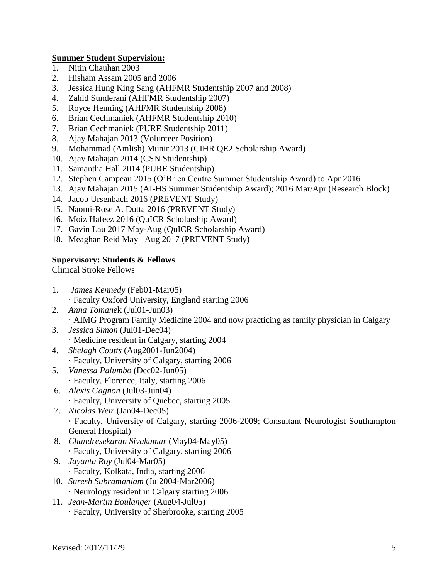## **Summer Student Supervision:**

- 1. Nitin Chauhan 2003
- 2. Hisham Assam 2005 and 2006
- 3. Jessica Hung King Sang (AHFMR Studentship 2007 and 2008)
- 4. Zahid Sunderani (AHFMR Studentship 2007)
- 5. Royce Henning (AHFMR Studentship 2008)
- 6. Brian Cechmaniek (AHFMR Studentship 2010)
- 7. Brian Cechmaniek (PURE Studentship 2011)
- 8. Ajay Mahajan 2013 (Volunteer Position)
- 9. Mohammad (Amlish) Munir 2013 (CIHR QE2 Scholarship Award)
- 10. Ajay Mahajan 2014 (CSN Studentship)
- 11. Samantha Hall 2014 (PURE Studentship)
- 12. Stephen Campeau 2015 (O'Brien Centre Summer Studentship Award) to Apr 2016
- 13. Ajay Mahajan 2015 (AI-HS Summer Studentship Award); 2016 Mar/Apr (Research Block)
- 14. Jacob Ursenbach 2016 (PREVENT Study)
- 15. Naomi-Rose A. Dutta 2016 (PREVENT Study)
- 16. Moiz Hafeez 2016 (QuICR Scholarship Award)
- 17. Gavin Lau 2017 May-Aug (QuICR Scholarship Award)
- 18. Meaghan Reid May –Aug 2017 (PREVENT Study)

## **Supervisory: Students & Fellows**

Clinical Stroke Fellows

- 1. *James Kennedy* (Feb01-Mar05) · Faculty Oxford University, England starting 2006
- 2. *Anna Tomane*k (Jul01-Jun03) · AIMG Program Family Medicine 2004 and now practicing as family physician in Calgary
- 3. *Jessica Simon* (Jul01-Dec04)
- · Medicine resident in Calgary, starting 2004 4. *Shelagh Coutts* (Aug2001-Jun2004)
- · Faculty, University of Calgary, starting 2006
- 5. *Vanessa Palumbo* (Dec02-Jun05) · Faculty, Florence, Italy, starting 2006
- 6. *Alexis Gagnon* (Jul03-Jun04)
	- · Faculty, University of Quebec, starting 2005
- 7. *Nicolas Weir* (Jan04-Dec05) · Faculty, University of Calgary, starting 2006-2009; Consultant Neurologist Southampton General Hospital)
- 8. *Chandresekaran Sivakumar* (May04-May05) · Faculty, University of Calgary, starting 2006
- 9. *Jayanta Roy* (Jul04-Mar05) · Faculty, Kolkata, India, starting 2006
- 10. *Suresh Subramaniam* (Jul2004-Mar2006) · Neurology resident in Calgary starting 2006
- 11. *Jean-Martin Boulanger* (Aug04-Jul05) · Faculty, University of Sherbrooke, starting 2005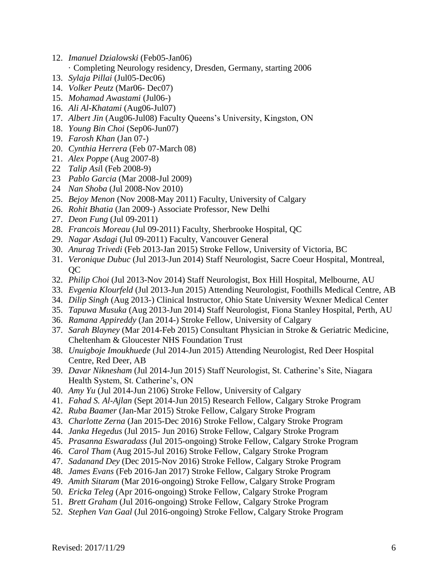- 12. *Imanuel Dzialowski* (Feb05-Jan06)
	- · Completing Neurology residency, Dresden, Germany, starting 2006
- 13. *Sylaja Pillai* (Jul05-Dec06)
- 14. *Volker Peutz* (Mar06- Dec07)
- 15. *Mohamad Awastami* (Jul06-)
- 16. *Ali Al-Khatami* (Aug06-Jul07)
- 17. *Albert Jin* (Aug06-Jul08) Faculty Queens's University, Kingston, ON
- 18. *Young Bin Choi* (Sep06-Jun07)
- 19. *Farosh Khan* (Jan 07-)
- 20. *Cynthia Herrera* (Feb 07-March 08)
- 21. *Alex Poppe* (Aug 2007-8)
- 22 *Talip Asi*l (Feb 2008-9)
- 23 *Pablo Garcia* (Mar 2008-Jul 2009)
- 24 *Nan Shoba* (Jul 2008-Nov 2010)
- 25. *Bejoy Menon* (Nov 2008-May 2011) Faculty, University of Calgary
- 26. *Rohit Bhatia* (Jan 2009-) Associate Professor, New Delhi
- 27. *Deon Fung* (Jul 09-2011)
- 28. *Francois Moreau* (Jul 09-2011) Faculty, Sherbrooke Hospital, QC
- 29. *Nagar Asdagi* (Jul 09-2011) Faculty, Vancouver General
- 30. *Anurag Trivedi* (Feb 2013-Jan 2015) Stroke Fellow, University of Victoria, BC
- 31. *Veronique Dubuc* (Jul 2013-Jun 2014) Staff Neurologist, Sacre Coeur Hospital, Montreal, QC
- 32. *Philip Choi* (Jul 2013-Nov 2014) Staff Neurologist, Box Hill Hospital, Melbourne, AU
- 33. *Evgenia Klourfeld* (Jul 2013-Jun 2015) Attending Neurologist, Foothills Medical Centre, AB
- 34. *Dilip Singh* (Aug 2013-) Clinical Instructor, Ohio State University Wexner Medical Center
- 35. *Tapuwa Musuka* (Aug 2013-Jun 2014) Staff Neurologist, Fiona Stanley Hospital, Perth, AU
- 36. *Ramana Appireddy* (Jan 2014-) Stroke Fellow, University of Calgary
- 37. *Sarah Blayney* (Mar 2014-Feb 2015) Consultant Physician in Stroke & Geriatric Medicine, Cheltenham & Gloucester NHS Foundation Trust
- 38. *Unuigboje Imoukhuede* (Jul 2014-Jun 2015) Attending Neurologist, Red Deer Hospital Centre, Red Deer, AB
- 39. *Davar Niknesham* (Jul 2014-Jun 2015) Staff Neurologist, St. Catherine's Site, Niagara Health System, St. Catherine's, ON
- 40. *Amy Yu* (Jul 2014-Jun 2106) Stroke Fellow, University of Calgary
- 41. *Fahad S. Al-Ajlan* (Sept 2014-Jun 2015) Research Fellow, Calgary Stroke Program
- 42. *Ruba Baamer* (Jan-Mar 2015) Stroke Fellow, Calgary Stroke Program
- 43. *Charlotte Zerna* (Jan 2015-Dec 2016) Stroke Fellow, Calgary Stroke Program
- 44. *Janka Hegedus* (Jul 2015- Jun 2016) Stroke Fellow, Calgary Stroke Program
- 45. *Prasanna Eswaradass* (Jul 2015-ongoing) Stroke Fellow, Calgary Stroke Program
- 46. *Carol Tham* (Aug 2015-Jul 2016) Stroke Fellow, Calgary Stroke Program
- 47. *Sadanand Dey* (Dec 2015-Nov 2016) Stroke Fellow, Calgary Stroke Program
- 48. *James Evans* (Feb 2016-Jan 2017) Stroke Fellow, Calgary Stroke Program
- 49. *Amith Sitaram* (Mar 2016-ongoing) Stroke Fellow, Calgary Stroke Program
- 50. *Ericka Teleg* (Apr 2016-ongoing) Stroke Fellow, Calgary Stroke Program
- 51. *Brett Graham* (Jul 2016-ongoing) Stroke Fellow, Calgary Stroke Program
- 52. *Stephen Van Gaal* (Jul 2016-ongoing) Stroke Fellow, Calgary Stroke Program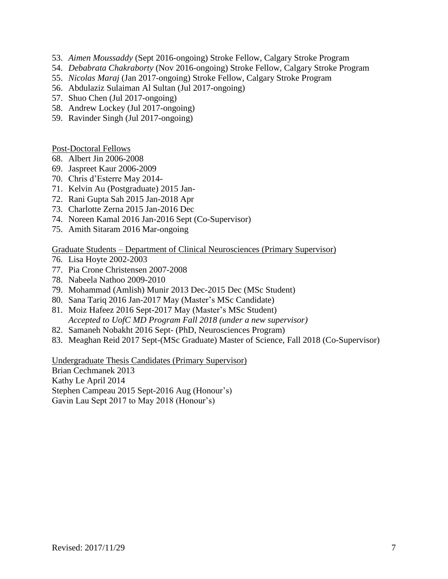- 53. *Aimen Moussaddy* (Sept 2016-ongoing) Stroke Fellow, Calgary Stroke Program
- 54. *Debabrata Chakraborty* (Nov 2016-ongoing) Stroke Fellow, Calgary Stroke Program
- 55. *Nicolas Maraj* (Jan 2017-ongoing) Stroke Fellow, Calgary Stroke Program
- 56. Abdulaziz Sulaiman Al Sultan (Jul 2017-ongoing)
- 57. Shuo Chen (Jul 2017-ongoing)
- 58. Andrew Lockey (Jul 2017-ongoing)
- 59. Ravinder Singh (Jul 2017-ongoing)

Post-Doctoral Fellows

- 68. Albert Jin 2006-2008
- 69. Jaspreet Kaur 2006-2009
- 70. Chris d'Esterre May 2014-
- 71. Kelvin Au (Postgraduate) 2015 Jan-
- 72. Rani Gupta Sah 2015 Jan-2018 Apr
- 73. Charlotte Zerna 2015 Jan-2016 Dec
- 74. Noreen Kamal 2016 Jan-2016 Sept (Co-Supervisor)
- 75. Amith Sitaram 2016 Mar-ongoing

### Graduate Students – Department of Clinical Neurosciences (Primary Supervisor)

- 76. Lisa Hoyte 2002-2003
- 77. Pia Crone Christensen 2007-2008
- 78. Nabeela Nathoo 2009-2010
- 79. Mohammad (Amlish) Munir 2013 Dec-2015 Dec (MSc Student)
- 80. Sana Tariq 2016 Jan-2017 May (Master's MSc Candidate)
- 81. Moiz Hafeez 2016 Sept-2017 May (Master's MSc Student) *Accepted to UofC MD Program Fall 2018 (under a new supervisor)*
- 82. Samaneh Nobakht 2016 Sept- (PhD, Neurosciences Program)
- 83. Meaghan Reid 2017 Sept-(MSc Graduate) Master of Science, Fall 2018 (Co-Supervisor)

Undergraduate Thesis Candidates (Primary Supervisor)

Brian Cechmanek 2013

Kathy Le April 2014 Stephen Campeau 2015 Sept-2016 Aug (Honour's)

Gavin Lau Sept 2017 to May 2018 (Honour's)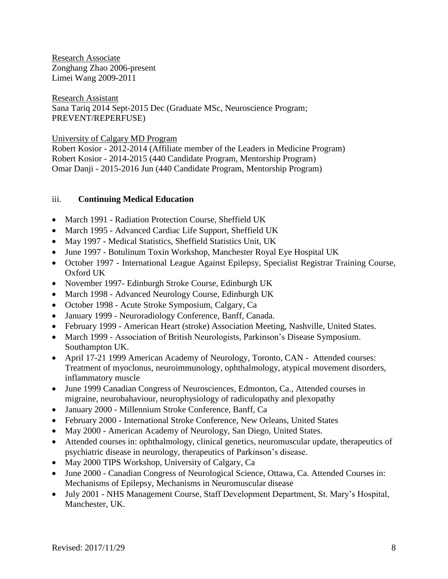Research Associate Zonghang Zhao 2006-present Limei Wang 2009-2011

Research Assistant Sana Tariq 2014 Sept-2015 Dec (Graduate MSc, Neuroscience Program; PREVENT/REPERFUSE)

University of Calgary MD Program

Robert Kosior - 2012-2014 (Affiliate member of the Leaders in Medicine Program) Robert Kosior - 2014-2015 (440 Candidate Program, Mentorship Program) Omar Danji - 2015-2016 Jun (440 Candidate Program, Mentorship Program)

# iii. **Continuing Medical Education**

- March 1991 Radiation Protection Course, Sheffield UK
- March 1995 Advanced Cardiac Life Support, Sheffield UK
- May 1997 Medical Statistics, Sheffield Statistics Unit, UK
- June 1997 Botulinum Toxin Workshop, Manchester Royal Eye Hospital UK
- October 1997 International League Against Epilepsy, Specialist Registrar Training Course, Oxford UK
- November 1997- Edinburgh Stroke Course, Edinburgh UK
- March 1998 Advanced Neurology Course, Edinburgh UK
- October 1998 Acute Stroke Symposium, Calgary, Ca
- January 1999 Neuroradiology Conference, Banff, Canada.
- February 1999 American Heart (stroke) Association Meeting, Nashville, United States.
- March 1999 Association of British Neurologists, Parkinson's Disease Symposium. Southampton UK.
- April 17-21 1999 American Academy of Neurology, Toronto, CAN Attended courses: Treatment of myoclonus, neuroimmunology, ophthalmology, atypical movement disorders, inflammatory muscle
- June 1999 Canadian Congress of Neurosciences, Edmonton, Ca., Attended courses in migraine, neurobahaviour, neurophysiology of radiculopathy and plexopathy
- January 2000 Millennium Stroke Conference, Banff, Ca
- February 2000 International Stroke Conference, New Orleans, United States
- May 2000 American Academy of Neurology, San Diego, United States.
- Attended courses in: ophthalmology, clinical genetics, neuromuscular update, therapeutics of psychiatric disease in neurology, therapeutics of Parkinson's disease.
- May 2000 TIPS Workshop, University of Calgary, Ca
- June 2000 Canadian Congress of Neurological Science, Ottawa, Ca. Attended Courses in: Mechanisms of Epilepsy, Mechanisms in Neuromuscular disease
- July 2001 NHS Management Course, Staff Development Department, St. Mary's Hospital, Manchester, UK.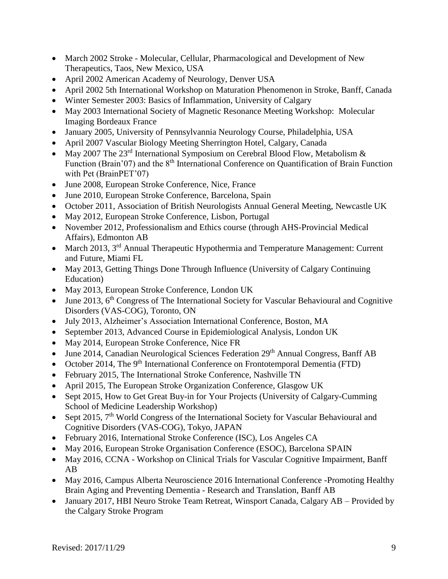- March 2002 Stroke Molecular, Cellular, Pharmacological and Development of New Therapeutics, Taos, New Mexico, USA
- April 2002 American Academy of Neurology, Denver USA
- April 2002 5th International Workshop on Maturation Phenomenon in Stroke, Banff, Canada
- Winter Semester 2003: Basics of Inflammation, University of Calgary
- May 2003 International Society of Magnetic Resonance Meeting Workshop: Molecular Imaging Bordeaux France
- January 2005, University of Pennsylvannia Neurology Course, Philadelphia, USA
- April 2007 Vascular Biology Meeting Sherrington Hotel, Calgary, Canada
- May 2007 The 23<sup>rd</sup> International Symposium on Cerebral Blood Flow, Metabolism  $\&$ Function (Brain'07) and the 8<sup>th</sup> International Conference on Quantification of Brain Function with Pet (BrainPET'07)
- June 2008, European Stroke Conference, Nice, France
- June 2010, European Stroke Conference, Barcelona, Spain
- October 2011, Association of British Neurologists Annual General Meeting, Newcastle UK
- May 2012, European Stroke Conference, Lisbon, Portugal
- November 2012, Professionalism and Ethics course (through AHS-Provincial Medical Affairs), Edmonton AB
- March 2013, 3<sup>rd</sup> Annual Therapeutic Hypothermia and Temperature Management: Current and Future, Miami FL
- May 2013, Getting Things Done Through Influence (University of Calgary Continuing Education)
- May 2013, European Stroke Conference, London UK
- $\bullet$  June 2013, 6<sup>th</sup> Congress of The International Society for Vascular Behavioural and Cognitive Disorders (VAS-COG), Toronto, ON
- July 2013, Alzheimer's Association International Conference, Boston, MA
- September 2013, Advanced Course in Epidemiological Analysis, London UK
- May 2014, European Stroke Conference, Nice FR
- June 2014, Canadian Neurological Sciences Federation 29<sup>th</sup> Annual Congress, Banff AB
- October 2014, The  $9<sup>th</sup>$  International Conference on Frontotemporal Dementia (FTD)
- February 2015, The International Stroke Conference, Nashville TN
- April 2015, The European Stroke Organization Conference, Glasgow UK
- Sept 2015, How to Get Great Buy-in for Your Projects (University of Calgary-Cumming School of Medicine Leadership Workshop)
- $\bullet$  Sept 2015, 7<sup>th</sup> World Congress of the International Society for Vascular Behavioural and Cognitive Disorders (VAS-COG), Tokyo, JAPAN
- February 2016, International Stroke Conference (ISC), Los Angeles CA
- May 2016, European Stroke Organisation Conference (ESOC), Barcelona SPAIN
- May 2016, CCNA Workshop on Clinical Trials for Vascular Cognitive Impairment, Banff AB
- May 2016, Campus Alberta Neuroscience 2016 International Conference -Promoting Healthy Brain Aging and Preventing Dementia - Research and Translation, Banff AB
- January 2017, HBI Neuro Stroke Team Retreat, Winsport Canada, Calgary AB Provided by the Calgary Stroke Program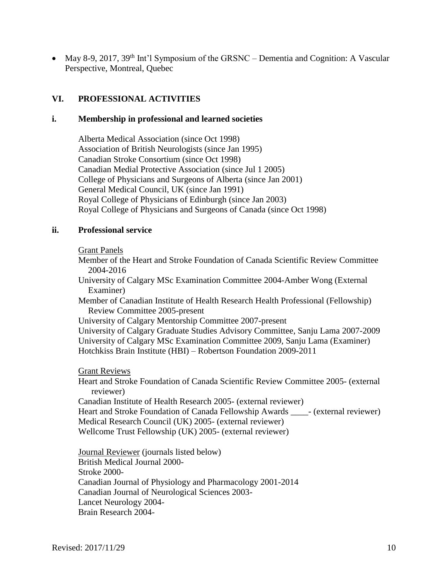• May 8-9, 2017, 39<sup>th</sup> Int'l Symposium of the GRSNC – Dementia and Cognition: A Vascular Perspective, Montreal, Quebec

## **VI. PROFESSIONAL ACTIVITIES**

#### **i. Membership in professional and learned societies**

Alberta Medical Association (since Oct 1998) Association of British Neurologists (since Jan 1995) Canadian Stroke Consortium (since Oct 1998) Canadian Medial Protective Association (since Jul 1 2005) College of Physicians and Surgeons of Alberta (since Jan 2001) General Medical Council, UK (since Jan 1991) Royal College of Physicians of Edinburgh (since Jan 2003) Royal College of Physicians and Surgeons of Canada (since Oct 1998)

#### **ii. Professional service**

Grant Panels

- Member of the Heart and Stroke Foundation of Canada Scientific Review Committee 2004-2016
- University of Calgary MSc Examination Committee 2004-Amber Wong (External Examiner)
- Member of Canadian Institute of Health Research Health Professional (Fellowship) Review Committee 2005-present

University of Calgary Mentorship Committee 2007-present

University of Calgary Graduate Studies Advisory Committee, Sanju Lama 2007-2009 University of Calgary MSc Examination Committee 2009, Sanju Lama (Examiner) Hotchkiss Brain Institute (HBI) – Robertson Foundation 2009-2011

Grant Reviews

Heart and Stroke Foundation of Canada Scientific Review Committee 2005- (external reviewer)

Canadian Institute of Health Research 2005- (external reviewer) Heart and Stroke Foundation of Canada Fellowship Awards [67] - (external reviewer) Medical Research Council (UK) 2005- (external reviewer) Wellcome Trust Fellowship (UK) 2005- (external reviewer)

Journal Reviewer (journals listed below) British Medical Journal 2000- Stroke 2000- Canadian Journal of Physiology and Pharmacology 2001-2014 Canadian Journal of Neurological Sciences 2003- Lancet Neurology 2004- Brain Research 2004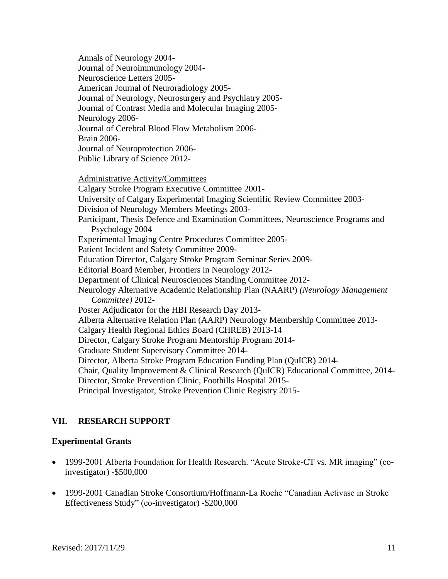Annals of Neurology 2004- Journal of Neuroimmunology 2004- Neuroscience Letters 2005- American Journal of Neuroradiology 2005- Journal of Neurology, Neurosurgery and Psychiatry 2005- Journal of Contrast Media and Molecular Imaging 2005- Neurology 2006- Journal of Cerebral Blood Flow Metabolism 2006- Brain 2006- Journal of Neuroprotection 2006- Public Library of Science 2012- Administrative Activity/Committees Calgary Stroke Program Executive Committee 2001- University of Calgary Experimental Imaging Scientific Review Committee 2003- Division of Neurology Members Meetings 2003- Participant, Thesis Defence and Examination Committees, Neuroscience Programs and Psychology 2004 Experimental Imaging Centre Procedures Committee 2005- Patient Incident and Safety Committee 2009- Education Director, Calgary Stroke Program Seminar Series 2009- Editorial Board Member, Frontiers in Neurology 2012- Department of Clinical Neurosciences Standing Committee 2012- Neurology Alternative Academic Relationship Plan (NAARP) *(Neurology Management Committee)* 2012- Poster Adjudicator for the HBI Research Day 2013- Alberta Alternative Relation Plan (AARP) Neurology Membership Committee 2013- Calgary Health Regional Ethics Board (CHREB) 2013-14 Director, Calgary Stroke Program Mentorship Program 2014- Graduate Student Supervisory Committee 2014- Director, Alberta Stroke Program Education Funding Plan (QuICR) 2014- Chair, Quality Improvement & Clinical Research (QuICR) Educational Committee, 2014- Director, Stroke Prevention Clinic, Foothills Hospital 2015- Principal Investigator, Stroke Prevention Clinic Registry 2015-

# **VII. RESEARCH SUPPORT**

### **Experimental Grants**

- 1999-2001 Alberta Foundation for Health Research. "Acute Stroke-CT vs. MR imaging" (coinvestigator) -\$500,000
- 1999-2001 Canadian Stroke Consortium/Hoffmann-La Roche "Canadian Activase in Stroke Effectiveness Study" (co-investigator) -\$200,000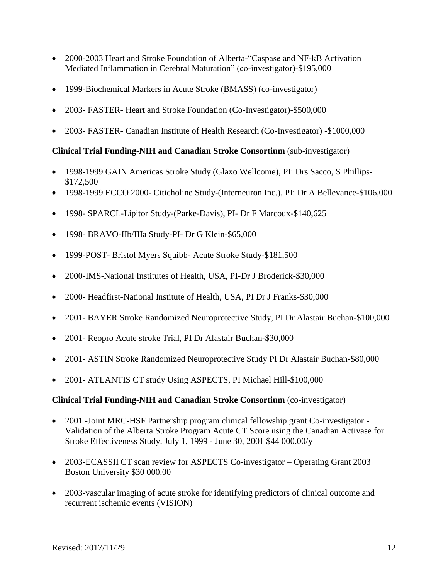- 2000-2003 Heart and Stroke Foundation of Alberta-"Caspase and NF-kB Activation Mediated Inflammation in Cerebral Maturation" (co-investigator)-\$195,000
- 1999-Biochemical Markers in Acute Stroke (BMASS) (co-investigator)
- 2003- FASTER- Heart and Stroke Foundation (Co-Investigator)-\$500,000
- 2003- FASTER- Canadian Institute of Health Research (Co-Investigator) -\$1000,000

# **Clinical Trial Funding-NIH and Canadian Stroke Consortium** (sub-investigator)

- 1998-1999 GAIN Americas Stroke Study (Glaxo Wellcome), PI: Drs Sacco, S Phillips- \$172,500
- 1998-1999 ECCO 2000- Citicholine Study-(Interneuron Inc.), PI: Dr A Bellevance-\$106,000
- 1998- SPARCL-Lipitor Study-(Parke-Davis), PI- Dr F Marcoux-\$140,625
- 1998- BRAVO-IIb/IIIa Study-PI- Dr G Klein-\$65,000
- 1999-POST- Bristol Myers Squibb- Acute Stroke Study-\$181,500
- 2000-IMS-National Institutes of Health, USA, PI-Dr J Broderick-\$30,000
- 2000- Headfirst-National Institute of Health, USA, PI Dr J Franks-\$30,000
- 2001- BAYER Stroke Randomized Neuroprotective Study, PI Dr Alastair Buchan-\$100,000
- 2001- Reopro Acute stroke Trial, PI Dr Alastair Buchan-\$30,000
- 2001- ASTIN Stroke Randomized Neuroprotective Study PI Dr Alastair Buchan-\$80,000
- 2001- ATLANTIS CT study Using ASPECTS, PI Michael Hill-\$100,000

# **Clinical Trial Funding-NIH and Canadian Stroke Consortium** (co-investigator)

- 2001 -Joint MRC-HSF Partnership program clinical fellowship grant Co-investigator -Validation of the Alberta Stroke Program Acute CT Score using the Canadian Activase for Stroke Effectiveness Study. July 1, 1999 - June 30, 2001 \$44 000.00/y
- 2003-ECASSII CT scan review for ASPECTS Co-investigator Operating Grant 2003 Boston University \$30 000.00
- 2003-vascular imaging of acute stroke for identifying predictors of clinical outcome and recurrent ischemic events (VISION)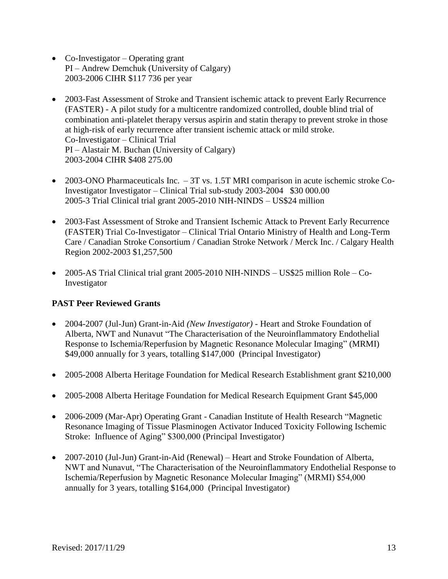- Co-Investigator Operating grant PI – Andrew Demchuk (University of Calgary) 2003-2006 CIHR \$117 736 per year
- 2003-Fast Assessment of Stroke and Transient ischemic attack to prevent Early Recurrence (FASTER) - A pilot study for a multicentre randomized controlled, double blind trial of combination anti-platelet therapy versus aspirin and statin therapy to prevent stroke in those at high-risk of early recurrence after transient ischemic attack or mild stroke. Co-Investigator – Clinical Trial PI – Alastair M. Buchan (University of Calgary) 2003-2004 CIHR \$408 275.00
- 2003-ONO Pharmaceuticals Inc. 3T vs. 1.5T MRI comparison in acute ischemic stroke Co-Investigator Investigator – Clinical Trial sub-study 2003-2004 \$30 000.00 2005-3 Trial Clinical trial grant 2005-2010 NIH-NINDS – US\$24 million
- 2003-Fast Assessment of Stroke and Transient Ischemic Attack to Prevent Early Recurrence (FASTER) Trial Co-Investigator – Clinical Trial Ontario Ministry of Health and Long-Term Care / Canadian Stroke Consortium / Canadian Stroke Network / Merck Inc. / Calgary Health Region 2002-2003 \$1,257,500
- 2005-AS Trial Clinical trial grant 2005-2010 NIH-NINDS US\$25 million Role Co-Investigator

# **PAST Peer Reviewed Grants**

- 2004-2007 (Jul-Jun) Grant-in-Aid *(New Investigator)* Heart and Stroke Foundation of Alberta, NWT and Nunavut "The Characterisation of the Neuroinflammatory Endothelial Response to Ischemia/Reperfusion by Magnetic Resonance Molecular Imaging" (MRMI) \$49,000 annually for 3 years, totalling \$147,000 (Principal Investigator)
- 2005-2008 Alberta Heritage Foundation for Medical Research Establishment grant \$210,000
- 2005-2008 Alberta Heritage Foundation for Medical Research Equipment Grant \$45,000
- 2006-2009 (Mar-Apr) Operating Grant Canadian Institute of Health Research "Magnetic Resonance Imaging of Tissue Plasminogen Activator Induced Toxicity Following Ischemic Stroke: Influence of Aging" \$300,000 (Principal Investigator)
- 2007-2010 (Jul-Jun) Grant-in-Aid (Renewal) Heart and Stroke Foundation of Alberta, NWT and Nunavut, "The Characterisation of the Neuroinflammatory Endothelial Response to Ischemia/Reperfusion by Magnetic Resonance Molecular Imaging" (MRMI) \$54,000 annually for 3 years, totalling \$164,000 (Principal Investigator)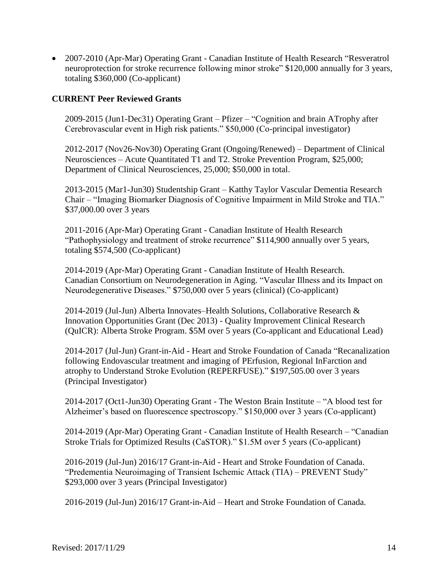• 2007-2010 (Apr-Mar) Operating Grant - Canadian Institute of Health Research "Resveratrol" neuroprotection for stroke recurrence following minor stroke" \$120,000 annually for 3 years, totaling \$360,000 (Co-applicant)

## **CURRENT Peer Reviewed Grants**

2009-2015 (Jun1-Dec31) Operating Grant – Pfizer – "Cognition and brain ATrophy after Cerebrovascular event in High risk patients." \$50,000 (Co-principal investigator)

2012-2017 (Nov26-Nov30) Operating Grant (Ongoing/Renewed) – Department of Clinical Neurosciences – Acute Quantitated T1 and T2. Stroke Prevention Program, \$25,000; Department of Clinical Neurosciences, 25,000; \$50,000 in total.

2013-2015 (Mar1-Jun30) Studentship Grant – Katthy Taylor Vascular Dementia Research Chair – "Imaging Biomarker Diagnosis of Cognitive Impairment in Mild Stroke and TIA." \$37,000.00 over 3 years

2011-2016 (Apr-Mar) Operating Grant - Canadian Institute of Health Research "Pathophysiology and treatment of stroke recurrence" \$114,900 annually over 5 years, totaling \$574,500 (Co-applicant)

2014-2019 (Apr-Mar) Operating Grant - Canadian Institute of Health Research. Canadian Consortium on Neurodegeneration in Aging. "Vascular Illness and its Impact on Neurodegenerative Diseases." \$750,000 over 5 years (clinical) (Co-applicant)

2014-2019 (Jul-Jun) Alberta Innovates–Health Solutions, Collaborative Research & Innovation Opportunities Grant (Dec 2013) - Quality Improvement Clinical Research (QuICR): Alberta Stroke Program. \$5M over 5 years (Co-applicant and Educational Lead)

2014-2017 (Jul-Jun) Grant-in-Aid - Heart and Stroke Foundation of Canada "Recanalization following Endovascular treatment and imaging of PErfusion, Regional InFarction and atrophy to Understand Stroke Evolution (REPERFUSE)." \$197,505.00 over 3 years (Principal Investigator)

2014-2017 (Oct1-Jun30) Operating Grant - The Weston Brain Institute – "A blood test for Alzheimer's based on fluorescence spectroscopy." \$150,000 over 3 years (Co-applicant)

2014-2019 (Apr-Mar) Operating Grant - Canadian Institute of Health Research – "Canadian Stroke Trials for Optimized Results (CaSTOR)." \$1.5M over 5 years (Co-applicant)

2016-2019 (Jul-Jun) 2016/17 Grant-in-Aid - Heart and Stroke Foundation of Canada. "Predementia Neuroimaging of Transient Ischemic Attack (TIA) – PREVENT Study" \$293,000 over 3 years (Principal Investigator)

2016-2019 (Jul-Jun) 2016/17 Grant-in-Aid – Heart and Stroke Foundation of Canada.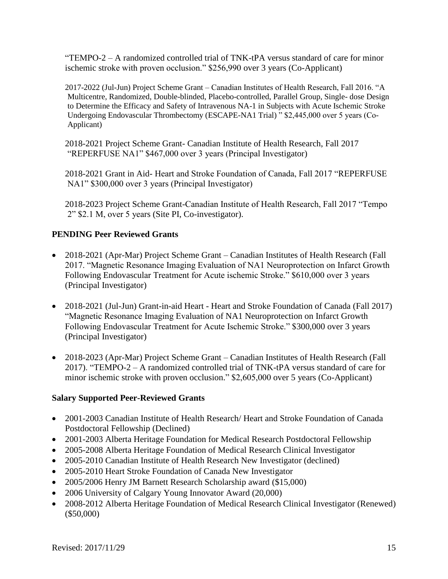"TEMPO-2 – A randomized controlled trial of TNK-tPA versus standard of care for minor ischemic stroke with proven occlusion." \$256,990 over 3 years (Co-Applicant)

2017-2022 (Jul-Jun) Project Scheme Grant – Canadian Institutes of Health Research, Fall 2016. "A Multicentre, Randomized, Double-blinded, Placebo-controlled, Parallel Group, Single- dose Design to Determine the Efficacy and Safety of Intravenous NA-1 in Subjects with Acute Ischemic Stroke Undergoing Endovascular Thrombectomy (ESCAPE-NA1 Trial) " \$2,445,000 over 5 years (Co-Applicant)

2018-2021 Project Scheme Grant- Canadian Institute of Health Research, Fall 2017 "REPERFUSE NA1" \$467,000 over 3 years (Principal Investigator)

2018-2021 Grant in Aid- Heart and Stroke Foundation of Canada, Fall 2017 "REPERFUSE NA1" \$300,000 over 3 years (Principal Investigator)

2018-2023 Project Scheme Grant-Canadian Institute of Health Research, Fall 2017 "Tempo 2" \$2.1 M, over 5 years (Site PI, Co-investigator).

# **PENDING Peer Reviewed Grants**

- 2018-2021 (Apr-Mar) Project Scheme Grant Canadian Institutes of Health Research (Fall 2017. "Magnetic Resonance Imaging Evaluation of NA1 Neuroprotection on Infarct Growth Following Endovascular Treatment for Acute ischemic Stroke." \$610,000 over 3 years (Principal Investigator)
- 2018-2021 (Jul-Jun) Grant-in-aid Heart Heart and Stroke Foundation of Canada (Fall 2017) "Magnetic Resonance Imaging Evaluation of NA1 Neuroprotection on Infarct Growth Following Endovascular Treatment for Acute Ischemic Stroke." \$300,000 over 3 years (Principal Investigator)
- 2018-2023 (Apr-Mar) Project Scheme Grant Canadian Institutes of Health Research (Fall 2017). "TEMPO-2 – A randomized controlled trial of TNK-tPA versus standard of care for minor ischemic stroke with proven occlusion." \$2,605,000 over 5 years (Co-Applicant)

# **Salary Supported Peer-Reviewed Grants**

- 2001-2003 Canadian Institute of Health Research/ Heart and Stroke Foundation of Canada Postdoctoral Fellowship (Declined)
- 2001-2003 Alberta Heritage Foundation for Medical Research Postdoctoral Fellowship
- 2005-2008 Alberta Heritage Foundation of Medical Research Clinical Investigator
- 2005-2010 Canadian Institute of Health Research New Investigator (declined)
- 2005-2010 Heart Stroke Foundation of Canada New Investigator
- 2005/2006 Henry JM Barnett Research Scholarship award (\$15,000)
- 2006 University of Calgary Young Innovator Award (20,000)
- 2008-2012 Alberta Heritage Foundation of Medical Research Clinical Investigator (Renewed) (\$50,000)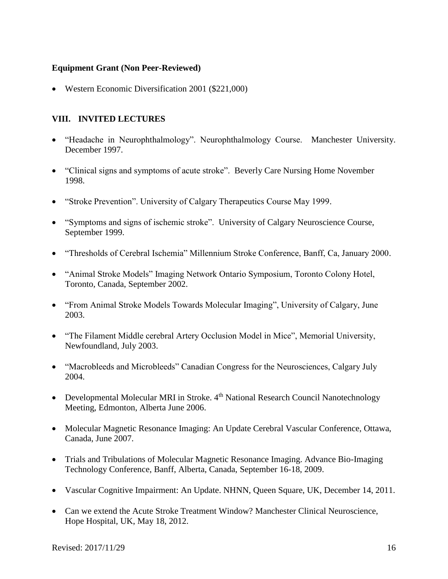## **Equipment Grant (Non Peer-Reviewed)**

Western Economic Diversification 2001 (\$221,000)

# **VIII. INVITED LECTURES**

- "Headache in Neurophthalmology". Neurophthalmology Course. Manchester University. December 1997.
- "Clinical signs and symptoms of acute stroke". Beverly Care Nursing Home November 1998.
- "Stroke Prevention". University of Calgary Therapeutics Course May 1999.
- "Symptoms and signs of ischemic stroke". University of Calgary Neuroscience Course, September 1999.
- "Thresholds of Cerebral Ischemia" Millennium Stroke Conference, Banff, Ca, January 2000.
- "Animal Stroke Models" Imaging Network Ontario Symposium, Toronto Colony Hotel, Toronto, Canada, September 2002.
- "From Animal Stroke Models Towards Molecular Imaging", University of Calgary, June 2003.
- "The Filament Middle cerebral Artery Occlusion Model in Mice", Memorial University, Newfoundland, July 2003.
- "Macrobleeds and Microbleeds" Canadian Congress for the Neurosciences, Calgary July 2004.
- Developmental Molecular MRI in Stroke. 4<sup>th</sup> National Research Council Nanotechnology Meeting, Edmonton, Alberta June 2006.
- Molecular Magnetic Resonance Imaging: An Update Cerebral Vascular Conference, Ottawa, Canada, June 2007.
- Trials and Tribulations of Molecular Magnetic Resonance Imaging. Advance Bio-Imaging Technology Conference, Banff, Alberta, Canada, September 16-18, 2009.
- Vascular Cognitive Impairment: An Update. NHNN, Queen Square, UK, December 14, 2011.
- Can we extend the Acute Stroke Treatment Window? Manchester Clinical Neuroscience, Hope Hospital, UK, May 18, 2012.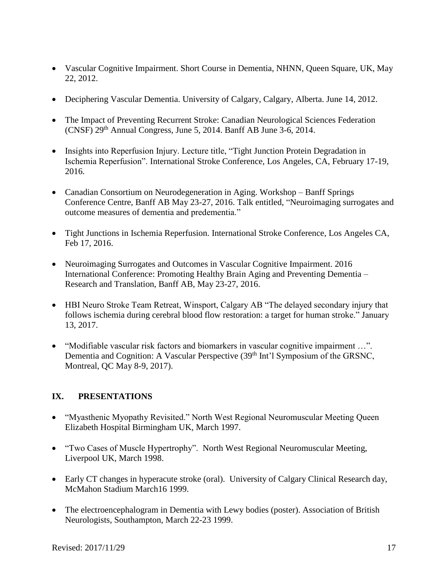- Vascular Cognitive Impairment. Short Course in Dementia, NHNN, Queen Square, UK, May 22, 2012.
- Deciphering Vascular Dementia. University of Calgary, Calgary, Alberta. June 14, 2012.
- The Impact of Preventing Recurrent Stroke: Canadian Neurological Sciences Federation  $(CNSF)$  29<sup>th</sup> Annual Congress, June 5, 2014. Banff AB June 3-6, 2014.
- Insights into Reperfusion Injury. Lecture title, "Tight Junction Protein Degradation in Ischemia Reperfusion". International Stroke Conference, Los Angeles, CA, February 17-19, 2016.
- Canadian Consortium on Neurodegeneration in Aging. Workshop Banff Springs Conference Centre, Banff AB May 23-27, 2016. Talk entitled, "Neuroimaging surrogates and outcome measures of dementia and predementia."
- Tight Junctions in Ischemia Reperfusion. International Stroke Conference, Los Angeles CA, Feb 17, 2016.
- Neuroimaging Surrogates and Outcomes in Vascular Cognitive Impairment. 2016 International Conference: Promoting Healthy Brain Aging and Preventing Dementia – Research and Translation, Banff AB, May 23-27, 2016.
- HBI Neuro Stroke Team Retreat, Winsport, Calgary AB "The delayed secondary injury that follows ischemia during cerebral blood flow restoration: a target for human stroke." January 13, 2017.
- "Modifiable vascular risk factors and biomarkers in vascular cognitive impairment …". Dementia and Cognition: A Vascular Perspective (39<sup>th</sup> Int'l Symposium of the GRSNC, Montreal, QC May 8-9, 2017).

# **IX. PRESENTATIONS**

- "Myasthenic Myopathy Revisited." North West Regional Neuromuscular Meeting Queen Elizabeth Hospital Birmingham UK, March 1997.
- "Two Cases of Muscle Hypertrophy". North West Regional Neuromuscular Meeting, Liverpool UK, March 1998.
- Early CT changes in hyperacute stroke (oral). University of Calgary Clinical Research day, McMahon Stadium March16 1999.
- The electroencephalogram in Dementia with Lewy bodies (poster). Association of British Neurologists, Southampton, March 22-23 1999.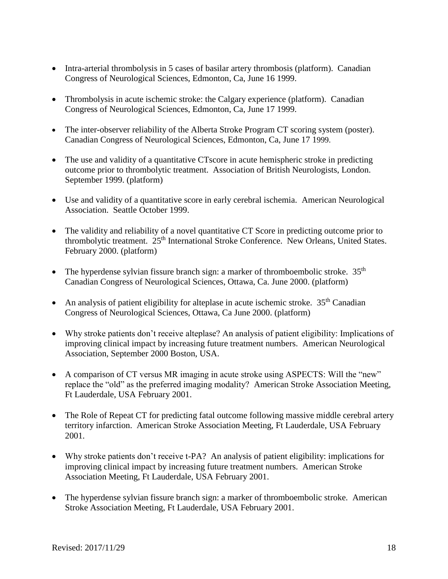- Intra-arterial thrombolysis in 5 cases of basilar artery thrombosis (platform). Canadian Congress of Neurological Sciences, Edmonton, Ca, June 16 1999.
- Thrombolysis in acute ischemic stroke: the Calgary experience (platform). Canadian Congress of Neurological Sciences, Edmonton, Ca, June 17 1999.
- The inter-observer reliability of the Alberta Stroke Program CT scoring system (poster). Canadian Congress of Neurological Sciences, Edmonton, Ca, June 17 1999.
- The use and validity of a quantitative CTscore in acute hemispheric stroke in predicting outcome prior to thrombolytic treatment. Association of British Neurologists, London. September 1999. (platform)
- Use and validity of a quantitative score in early cerebral ischemia. American Neurological Association. Seattle October 1999.
- The validity and reliability of a novel quantitative CT Score in predicting outcome prior to thrombolytic treatment. 25<sup>th</sup> International Stroke Conference. New Orleans, United States. February 2000. (platform)
- The hyperdense sylvian fissure branch sign: a marker of thromboembolic stroke.  $35<sup>th</sup>$ Canadian Congress of Neurological Sciences, Ottawa, Ca. June 2000. (platform)
- An analysis of patient eligibility for alteplase in acute ischemic stroke.  $35<sup>th</sup>$  Canadian Congress of Neurological Sciences, Ottawa, Ca June 2000. (platform)
- Why stroke patients don't receive alteplase? An analysis of patient eligibility: Implications of improving clinical impact by increasing future treatment numbers. American Neurological Association, September 2000 Boston, USA.
- A comparison of CT versus MR imaging in acute stroke using ASPECTS: Will the "new" replace the "old" as the preferred imaging modality? American Stroke Association Meeting, Ft Lauderdale, USA February 2001.
- The Role of Repeat CT for predicting fatal outcome following massive middle cerebral artery territory infarction. American Stroke Association Meeting, Ft Lauderdale, USA February 2001.
- Why stroke patients don't receive t-PA? An analysis of patient eligibility: implications for improving clinical impact by increasing future treatment numbers. American Stroke Association Meeting, Ft Lauderdale, USA February 2001.
- The hyperdense sylvian fissure branch sign: a marker of thromboembolic stroke. American Stroke Association Meeting, Ft Lauderdale, USA February 2001.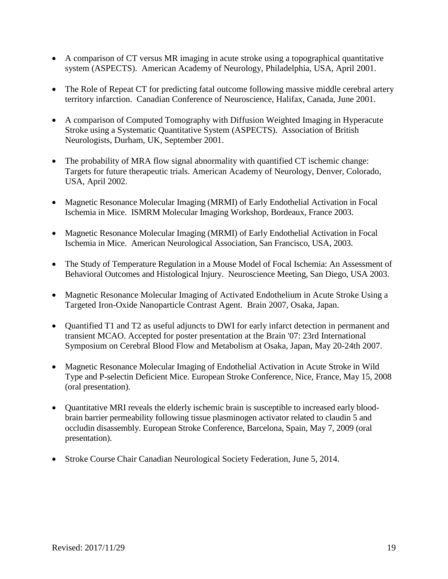- A comparison of CT versus MR imaging in acute stroke using a topographical quantitative system (ASPECTS). American Academy of Neurology, Philadelphia, USA, April 2001.
- The Role of Repeat CT for predicting fatal outcome following massive middle cerebral artery territory infarction. Canadian Conference of Neuroscience, Halifax, Canada, June 2001.
- A comparison of Computed Tomography with Diffusion Weighted Imaging in Hyperacute Stroke using a Systematic Quantitative System (ASPECTS). Association of British Neurologists, Durham, UK, September 2001.
- The probability of MRA flow signal abnormality with quantified CT ischemic change: Targets for future therapeutic trials. American Academy of Neurology, Denver, Colorado, USA, April 2002.
- Magnetic Resonance Molecular Imaging (MRMI) of Early Endothelial Activation in Focal Ischemia in Mice. ISMRM Molecular Imaging Workshop, Bordeaux, France 2003.
- Magnetic Resonance Molecular Imaging (MRMI) of Early Endothelial Activation in Focal Ischemia in Mice. American Neurological Association, San Francisco, USA, 2003.
- The Study of Temperature Regulation in a Mouse Model of Focal Ischemia: An Assessment of Behavioral Outcomes and Histological Injury. Neuroscience Meeting, San Diego, USA 2003.
- Magnetic Resonance Molecular Imaging of Activated Endothelium in Acute Stroke Using a Targeted Iron-Oxide Nanoparticle Contrast Agent. Brain 2007, Osaka, Japan.
- Quantified T1 and T2 as useful adjuncts to DWI for early infarct detection in permanent and transient MCAO. Accepted for poster presentation at the Brain '07: 23rd International Symposium on Cerebral Blood Flow and Metabolism at Osaka, Japan, May 20-24th 2007.
- Magnetic Resonance Molecular Imaging of Endothelial Activation in Acute Stroke in Wild Type and P-selectin Deficient Mice. European Stroke Conference, Nice, France, May 15, 2008 (oral presentation).
- Quantitative MRI reveals the elderly ischemic brain is susceptible to increased early bloodbrain barrier permeability following tissue plasminogen activator related to claudin 5 and occludin disassembly. European Stroke Conference, Barcelona, Spain, May 7, 2009 (oral presentation).
- Stroke Course Chair Canadian Neurological Society Federation, June 5, 2014.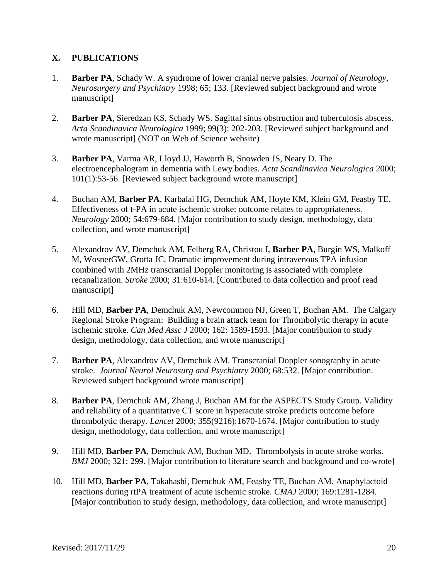# **X. PUBLICATIONS**

- 1. **Barber PA**, Schady W. A syndrome of lower cranial nerve palsies. *Journal of Neurology, Neurosurgery and Psychiatry* 1998; 65; 133. [Reviewed subject background and wrote manuscript]
- 2. **Barber PA**, Sieredzan KS, Schady WS. Sagittal sinus obstruction and tuberculosis abscess. *Acta Scandinavica Neurologica* 1999; 99(3): 202-203. [Reviewed subject background and wrote manuscript] (NOT on Web of Science website)
- 3. **Barber PA**, Varma AR, Lloyd JJ, Haworth B, Snowden JS, Neary D. The electroencephalogram in dementia with Lewy bodies. *Acta Scandinavica Neurologica* 2000; 101(1):53-56. [Reviewed subject background wrote manuscript]
- 4. Buchan AM, **Barber PA**, Karbalai HG, Demchuk AM, Hoyte KM, Klein GM, Feasby TE. Effectiveness of t-PA in acute ischemic stroke: outcome relates to appropriateness. *Neurology* 2000; 54:679-684. [Major contribution to study design, methodology, data collection, and wrote manuscript]
- 5. Alexandrov AV, Demchuk AM, Felberg RA, Christou I, **Barber PA**, Burgin WS, Malkoff M, WosnerGW, Grotta JC. Dramatic improvement during intravenous TPA infusion combined with 2MHz transcranial Doppler monitoring is associated with complete recanalization. *Stroke* 2000; 31:610-614. [Contributed to data collection and proof read manuscript]
- 6. Hill MD, **Barber PA**, Demchuk AM, Newcommon NJ, Green T, Buchan AM. The Calgary Regional Stroke Program: Building a brain attack team for Thrombolytic therapy in acute ischemic stroke. *Can Med Assc J* 2000; 162: 1589-1593. [Major contribution to study design, methodology, data collection, and wrote manuscript]
- 7. **Barber PA**, Alexandrov AV, Demchuk AM. Transcranial Doppler sonography in acute stroke. *Journal Neurol Neurosurg and Psychiatry* 2000; 68:532. [Major contribution. Reviewed subject background wrote manuscript]
- 8. **Barber PA**, Demchuk AM, Zhang J, Buchan AM for the ASPECTS Study Group. Validity and reliability of a quantitative CT score in hyperacute stroke predicts outcome before thrombolytic therapy. *Lancet* 2000; 355(9216):1670-1674. [Major contribution to study design, methodology, data collection, and wrote manuscript]
- 9. Hill MD, **Barber PA**, Demchuk AM, Buchan MD. Thrombolysis in acute stroke works. *BMJ* 2000; 321: 299. [Major contribution to literature search and background and co-wrote]
- 10. Hill MD, **Barber PA**, Takahashi, Demchuk AM, Feasby TE, Buchan AM. Anaphylactoid reactions during rtPA treatment of acute ischemic stroke. *CMAJ* 2000; 169:1281-1284. [Major contribution to study design, methodology, data collection, and wrote manuscript]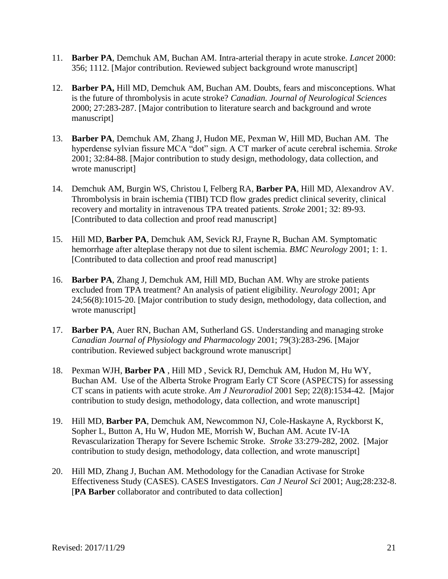- 11. **Barber PA**, Demchuk AM, Buchan AM. Intra-arterial therapy in acute stroke. *Lancet* 2000: 356; 1112. [Major contribution. Reviewed subject background wrote manuscript]
- 12. **Barber PA,** Hill MD, Demchuk AM, Buchan AM. Doubts, fears and misconceptions. What is the future of thrombolysis in acute stroke? *Canadian. Journal of Neurological Sciences* 2000; 27:283-287. [Major contribution to literature search and background and wrote manuscript]
- 13. **Barber PA**, Demchuk AM, Zhang J, Hudon ME, Pexman W, Hill MD, Buchan AM. The hyperdense sylvian fissure MCA "dot" sign. A CT marker of acute cerebral ischemia. *Stroke* 2001; 32:84-88. [Major contribution to study design, methodology, data collection, and wrote manuscript]
- 14. Demchuk AM, Burgin WS, Christou I, Felberg RA, **Barber PA**, Hill MD, Alexandrov AV. Thrombolysis in brain ischemia (TIBI) TCD flow grades predict clinical severity, clinical recovery and mortality in intravenous TPA treated patients. *Stroke* 2001; 32: 89-93. [Contributed to data collection and proof read manuscript]
- 15. Hill MD, **Barber PA**, Demchuk AM, Sevick RJ, Frayne R, Buchan AM. Symptomatic hemorrhage after alteplase therapy not due to silent ischemia. *BMC Neurology* 2001; 1: 1. [Contributed to data collection and proof read manuscript]
- 16. **Barber PA**, Zhang J, Demchuk AM, Hill MD, Buchan AM. Why are stroke patients excluded from TPA treatment? An analysis of patient eligibility. *Neurology* 2001; Apr 24;56(8):1015-20. [Major contribution to study design, methodology, data collection, and wrote manuscript]
- 17. **Barber PA**, Auer RN, Buchan AM, Sutherland GS. Understanding and managing stroke *Canadian Journal of Physiology and Pharmacology* 2001; 79(3):283-296. [Major contribution. Reviewed subject background wrote manuscript]
- 18. Pexman WJH, **Barber PA** , Hill MD , Sevick RJ, Demchuk AM, Hudon M, Hu WY, Buchan AM. Use of the Alberta Stroke Program Early CT Score (ASPECTS) for assessing CT scans in patients with acute stroke. *Am J Neuroradiol* 2001 Sep; 22(8):1534-42. [Major contribution to study design, methodology, data collection, and wrote manuscript]
- 19. Hill MD, **Barber PA**, Demchuk AM, Newcommon NJ, Cole-Haskayne A, Ryckborst K, Sopher L, Button A, Hu W, Hudon ME, Morrish W, Buchan AM. Acute IV-IA Revascularization Therapy for Severe Ischemic Stroke. *Stroke* 33:279-282, 2002. [Major contribution to study design, methodology, data collection, and wrote manuscript]
- 20. Hill MD, Zhang J, Buchan AM. Methodology for the Canadian Activase for Stroke Effectiveness Study (CASES). CASES Investigators. *Can J Neurol Sci* 2001; Aug;28:232-8. [**PA Barber** collaborator and contributed to data collection]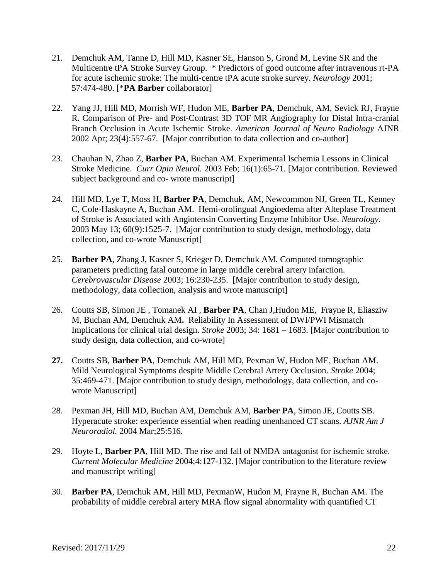- 21. Demchuk AM, Tanne D, Hill MD, Kasner SE, Hanson S, Grond M, Levine SR and the Multicentre tPA Stroke Survey Group. \* Predictors of good outcome after intravenous rt-PA for acute ischemic stroke: The multi-centre tPA acute stroke survey. *Neurology* 2001; 57:474-480. [\***PA Barber** collaborator]
- 22. Yang JJ, Hill MD, Morrish WF, Hudon ME, **Barber PA**, Demchuk, AM, Sevick RJ, Frayne R. Comparison of Pre- and Post-Contrast 3D TOF MR Angiography for Distal Intra-cranial Branch Occlusion in Acute Ischemic Stroke. *American Journal of Neuro Radiology* AJNR 2002 Apr; 23(4):557-67. [Major contribution to data collection and co-author]
- 23. Chauhan N, Zhao Z, **Barber PA**, Buchan AM. Experimental Ischemia Lessons in Clinical Stroke Medicine. *Curr Opin Neurol.* 2003 Feb; 16(1):65-71. [Major contribution. Reviewed subject background and co- wrote manuscript]
- 24. Hill MD, Lye T, Moss H, **Barber PA**, Demchuk, AM, Newcommon NJ, Green TL, Kenney C, Cole-Haskayne A, Buchan AM. Hemi-orolingual Angioedema after Alteplase Treatment of Stroke is Associated with Angiotensin Converting Enzyme Inhibitor Use. *Neurology*. 2003 May 13; 60(9):1525-7. [Major contribution to study design, methodology, data collection, and co-wrote Manuscript]
- 25. **Barber PA**, Zhang J, Kasner S, Krieger D, Demchuk AM. Computed tomographic parameters predicting fatal outcome in large middle cerebral artery infarction. *Cerebrovascular Disease* 2003; 16:230-235. [Major contribution to study design, methodology, data collection, analysis and wrote manuscript]
- 26. Coutts SB, Simon JE , Tomanek AI , **Barber PA**, Chan J,Hudon ME, Frayne R, Eliasziw M, Buchan AM, Demchuk AM**.** Reliability In Assessment of DWI/PWI Mismatch Implications for clinical trial design. *Stroke* 2003; 34: 1681 – 1683. [Major contribution to study design, data collection, and co-wrote]
- **27.** Coutts SB, **Barber PA**, Demchuk AM, Hill MD, Pexman W, Hudon ME, Buchan AM. Mild Neurological Symptoms despite Middle Cerebral Artery Occlusion. *Stroke* 2004; 35:469-471. [Major contribution to study design, methodology, data collection, and cowrote Manuscript]
- 28. Pexman JH, Hill MD, Buchan AM, Demchuk AM, **Barber PA**, Simon JE, Coutts SB. Hyperacute stroke: experience essential when reading unenhanced CT scans. *AJNR Am J Neuroradiol.* 2004 Mar;25:516.
- 29. Hoyte L, **Barber PA**, Hill MD. The rise and fall of NMDA antagonist for ischemic stroke. *Current Molecular Medicine* 2004;4:127-132. [Major contribution to the literature review and manuscript writing]
- 30. **Barber PA**, Demchuk AM, Hill MD, PexmanW, Hudon M, Frayne R, Buchan AM. The probability of middle cerebral artery MRA flow signal abnormality with quantified CT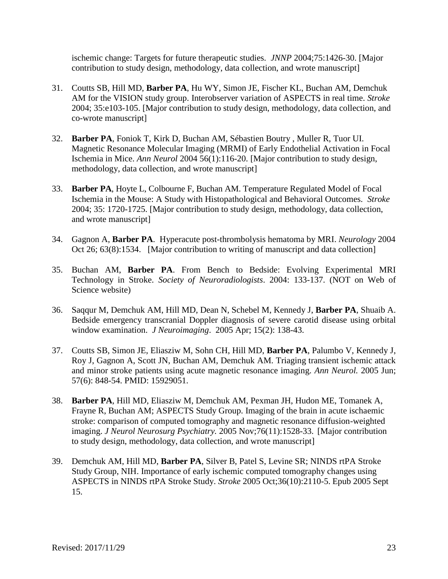ischemic change: Targets for future therapeutic studies. *JNNP* 2004;75:1426-30. [Major contribution to study design, methodology, data collection, and wrote manuscript]

- 31. Coutts SB, Hill MD, **Barber PA**, Hu WY, Simon JE, Fischer KL, Buchan AM, Demchuk AM for the VISION study group. Interobserver variation of ASPECTS in real time. *Stroke* 2004; 35:e103-105. [Major contribution to study design, methodology, data collection, and co-wrote manuscript]
- 32. **Barber PA**, Foniok T, Kirk D, Buchan AM, Sébastien Boutry , Muller R, Tuor UI. Magnetic Resonance Molecular Imaging (MRMI) of Early Endothelial Activation in Focal Ischemia in Mice. *Ann Neurol* 2004 56(1):116-20. [Major contribution to study design, methodology, data collection, and wrote manuscript]
- 33. **Barber PA**, Hoyte L, Colbourne F, Buchan AM. Temperature Regulated Model of Focal Ischemia in the Mouse: A Study with Histopathological and Behavioral Outcomes. *Stroke*  2004; 35: 1720-1725. [Major contribution to study design, methodology, data collection, and wrote manuscript]
- 34. Gagnon A, **Barber PA**. Hyperacute post-thrombolysis hematoma by MRI. *Neurology* 2004 Oct 26; 63(8):1534. [Major contribution to writing of manuscript and data collection]
- 35. Buchan AM, **Barber PA**. From Bench to Bedside: Evolving Experimental MRI Technology in Stroke. *Society of Neuroradiologists*. 2004: 133-137. (NOT on Web of Science website)
- 36. Saqqur M, Demchuk AM, Hill MD, Dean N, Schebel M, Kennedy J, **Barber PA**, Shuaib A. Bedside emergency transcranial Doppler diagnosis of severe carotid disease using orbital window examination. *J Neuroimaging*. 2005 Apr; 15(2): 138-43.
- 37. Coutts SB, Simon JE, Eliasziw M, Sohn CH, Hill MD, **Barber PA**, Palumbo V, Kennedy J, Roy J, Gagnon A, Scott JN, Buchan AM, Demchuk AM. Triaging transient ischemic attack and minor stroke patients using acute magnetic resonance imaging. *Ann Neurol.* 2005 Jun; 57(6): 848-54. PMID: 15929051.
- 38. **Barber PA**, Hill MD, Eliasziw M, Demchuk AM, Pexman JH, Hudon ME, Tomanek A, Frayne R, Buchan AM; ASPECTS Study Group. Imaging of the brain in acute ischaemic stroke: comparison of computed tomography and magnetic resonance diffusion-weighted imaging. *J Neurol Neurosurg Psychiatry.* 2005 Nov;76(11):1528-33. [Major contribution to study design, methodology, data collection, and wrote manuscript]
- 39. Demchuk AM, Hill MD, **Barber PA**, Silver B, Patel S, Levine SR; NINDS rtPA Stroke Study Group, NIH. Importance of early ischemic computed tomography changes using ASPECTS in NINDS rtPA Stroke Study. *Stroke* 2005 Oct;36(10):2110-5. Epub 2005 Sept 15.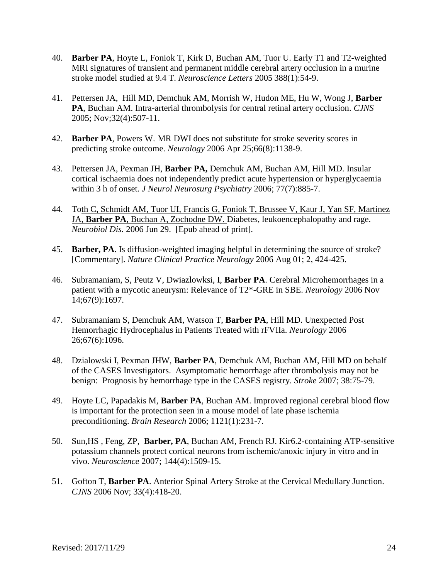- 40. **Barber PA**, Hoyte L, Foniok T, Kirk D, Buchan AM, Tuor U. Early T1 and T2-weighted MRI signatures of transient and permanent middle cerebral artery occlusion in a murine stroke model studied at 9.4 T. *Neuroscience Letters* 2005 388(1):54-9.
- 41. Pettersen JA, Hill MD, Demchuk AM, Morrish W, Hudon ME, Hu W, Wong J, **Barber PA**, Buchan AM. Intra-arterial thrombolysis for central retinal artery occlusion. *CJNS*  2005; Nov;32(4):507-11.
- 42. **Barber PA**, Powers W. MR DWI does not substitute for stroke severity scores in predicting stroke outcome. *[Neurology](javascript:AL_get(this,%20)* 2006 Apr 25;66(8):1138-9.
- 43. Pettersen JA, Pexman JH, **Barber PA,** [Demchuk AM, Buchan AM, Hill MD.](http://www.ncbi.nlm.nih.gov/entrez/query.fcgi?db=pubmed&cmd=Retrieve&dopt=Abstract&list_uids=16788017&query_hl=1&itool=pubmed_docsum) Insular cortical ischaemia does not independently predict acute hypertension or hyperglycaemia within 3 h of onset. *J Neurol Neurosurg Psychiatry* 2006; 77(7):885-7.
- 44. Toth C, Schmidt AM, Tuor UI, Francis G, Foniok T, Brussee V, Kaur J, Yan SF, Martinez JA, **Barber PA**, Buchan A, Zochodne DW. Diabetes, leukoencephalopathy and rage. *Neurobiol Dis.* 2006 Jun 29. [Epub ahead of print].
- 45. **Barber, PA**. Is diffusion-weighted imaging helpful in determining the source of stroke? [Commentary]. *Nature Clinical Practice Neurology* 2006 Aug 01; 2, 424-425.
- 46. Subramaniam, S, Peutz V, Dwiazlowksi, I, **Barber PA**. Cerebral Microhemorrhages in a patient with a mycotic aneurysm: Relevance of T2\*-GRE in SBE. *Neurology* 2006 Nov 14;67(9):1697.
- 47. Subramaniam S, Demchuk AM, Watson T, **Barber PA**, Hill MD. Unexpected Post Hemorrhagic Hydrocephalus in Patients Treated with rFVIIa. *Neurology* 2006 26;67(6):1096.
- 48. Dzialowski I, Pexman JHW, **Barber PA**, Demchuk AM, Buchan AM, Hill MD on behalf of the CASES Investigators. Asymptomatic hemorrhage after thrombolysis may not be benign: Prognosis by hemorrhage type in the CASES registry. *Stroke* 2007; 38:75-79.
- 49. Hoyte LC, Papadakis M, **Barber PA**, Buchan AM. Improved regional cerebral blood flow is important for the protection seen in a mouse model of late phase ischemia preconditioning. *Brain Research* 2006; 1121(1):231-7.
- 50. Sun,HS , Feng, ZP, **Barber, PA**, Buchan AM, French RJ. Kir6.2-containing ATP-sensitive potassium channels protect cortical neurons from ischemic/anoxic injury in vitro and in vivo. *Neuroscience* 2007; 144(4):1509-15.
- 51. Gofton T, **Barber PA**. Anterior Spinal Artery Stroke at the Cervical Medullary Junction. *CJNS* 2006 Nov; 33(4):418-20.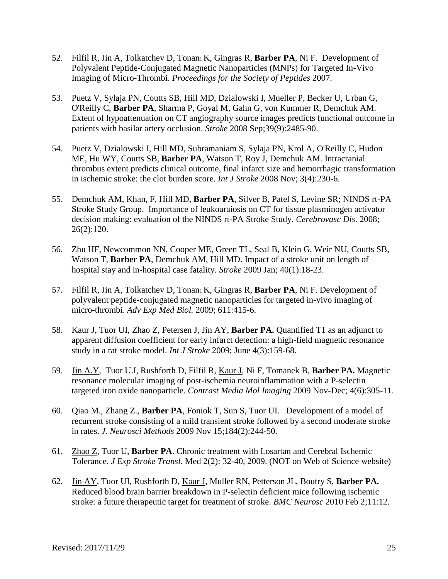- 52. Filfil R, Jin A, Tolkatchev D, Tonan<sub>1</sub> K, Gingras R, **Barber PA**, Ni F. Development of Polyvalent Peptide-Conjugated Magnetic Nanoparticles (MNPs) for Targeted In-Vivo Imaging of Micro-Thrombi. *Proceedings for the Society of Peptides* 2007.
- 53. Puetz V, Sylaja PN, Coutts SB, Hill MD, Dzialowski I, Mueller P, Becker U, Urban G, O'Reilly C, **Barber PA**, Sharma P, Goyal M, Gahn G, von Kummer R, Demchuk AM. [Extent of hypoattenuation on CT angiography source images predicts functional outcome in](http://www.ncbi.nlm.nih.gov/pubmed/18617663?ordinalpos=6&itool=EntrezSystem2.PEntrez.Pubmed.Pubmed_ResultsPanel.Pubmed_DefaultReportPanel.Pubmed_RVDocSum)  [patients with basilar artery occlusion.](http://www.ncbi.nlm.nih.gov/pubmed/18617663?ordinalpos=6&itool=EntrezSystem2.PEntrez.Pubmed.Pubmed_ResultsPanel.Pubmed_DefaultReportPanel.Pubmed_RVDocSum) *Stroke* 2008 Sep;39(9):2485-90.
- 54. Puetz V, Dzialowski I, Hill MD, Subramaniam S, Sylaja PN, Krol A, O'Reilly C, Hudon ME, Hu WY, Coutts SB, **Barber PA**, Watson T, Roy J, Demchuk AM. [Intracranial](http://www.ncbi.nlm.nih.gov/pubmed/18811738?ordinalpos=5&itool=EntrezSystem2.PEntrez.Pubmed.Pubmed_ResultsPanel.Pubmed_DefaultReportPanel.Pubmed_RVDocSum)  [thrombus extent predicts clinical outcome, final infarct size and hemorrhagic transformation](http://www.ncbi.nlm.nih.gov/pubmed/18811738?ordinalpos=5&itool=EntrezSystem2.PEntrez.Pubmed.Pubmed_ResultsPanel.Pubmed_DefaultReportPanel.Pubmed_RVDocSum)  [in ischemic stroke: the clot burden score.](http://www.ncbi.nlm.nih.gov/pubmed/18811738?ordinalpos=5&itool=EntrezSystem2.PEntrez.Pubmed.Pubmed_ResultsPanel.Pubmed_DefaultReportPanel.Pubmed_RVDocSum) *Int J Stroke* 2008 Nov; 3(4):230-6.
- 55. Demchuk AM, Khan, F, Hill MD, **Barber PA**, Silver B, Patel S, Levine SR; NINDS rt-PA Stroke Study Group. Importance of leukoaraiosis on CT for tissue plasminogen activator decision making: evaluation of the NINDS rt-PA Stroke Study. *Cerebrovasc Dis*. 2008; 26(2):120.
- 56. Zhu HF, Newcommon NN, Cooper ME, Green TL, Seal B, Klein G, Weir NU, Coutts SB, Watson T, **Barber PA**, Demchuk AM, Hill MD. [Impact of a stroke unit on length of](http://www.ncbi.nlm.nih.gov/pubmed/19008467?ordinalpos=4&itool=EntrezSystem2.PEntrez.Pubmed.Pubmed_ResultsPanel.Pubmed_DefaultReportPanel.Pubmed_RVDocSum)  [hospital stay and in-hospital case fatality.](http://www.ncbi.nlm.nih.gov/pubmed/19008467?ordinalpos=4&itool=EntrezSystem2.PEntrez.Pubmed.Pubmed_ResultsPanel.Pubmed_DefaultReportPanel.Pubmed_RVDocSum) *Stroke* 2009 Jan; 40(1):18-23.
- 57. Filfil R, Jin A, Tolkatchev D, Tonan1 K, Gingras R, **Barber PA**, Ni F. Development of polyvalent peptide-conjugated magnetic nanoparticles for targeted in-vivo imaging of micro-thrombi. *Adv Exp Med Biol.* 2009; 611:415-6.
- 58. Kaur J, Tuor UI, Zhao Z, Petersen J, Jin AY, **Barber PA.** Quantified T1 as an adjunct to apparent diffusion coefficient for early infarct detection: a high-field magnetic resonance study in a rat stroke model. *Int J Stroke* 2009; June 4(3):159-68.
- 59. Jin A.Y, Tuor U.I, Rushforth D, Filfil R, Kaur J, Ni F, Tomanek B, **Barber PA.** Magnetic resonance molecular imaging of post-ischemia neuroinflammation with a P-selectin targeted iron oxide nanoparticle. *Contrast Media Mol Imaging* 2009 Nov-Dec; 4(6):305-11.
- 60. Qiao M., Zhang Z., **Barber PA**, Foniok T, Sun S, Tuor UI. Development of a model of recurrent stroke consisting of a mild transient stroke followed by a second moderate stroke in rates. *J. Neurosci Methods* 2009 Nov 15;184(2):244-50.
- 61. Zhao Z, Tuor U, **Barber PA**. Chronic treatment with Losartan and Cerebral Ischemic Tolerance. *J Exp Stroke Transl.* Med 2(2): 32-40, 2009. (NOT on Web of Science website)
- 62. Jin AY, Tuor UI, Rushforth D, Kaur J, Muller RN, Petterson JL, Boutry S, **Barber PA.**  Reduced blood brain barrier breakdown in P-selectin deficient mice following ischemic stroke: a future therapeutic target for treatment of stroke. *BMC Neurosc* 2010 Feb 2;11:12.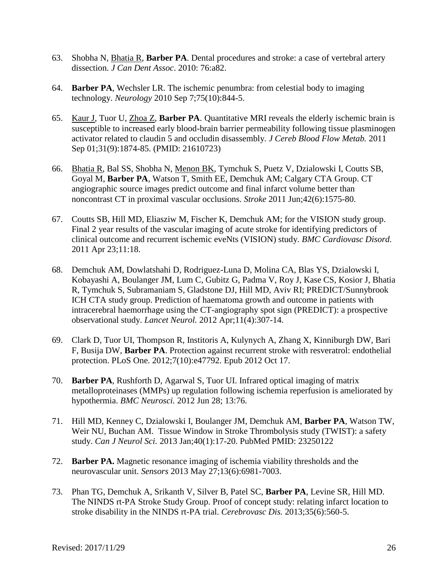- 63. Shobha N, Bhatia R, **Barber PA**. [Dental procedures and stroke: a case of vertebral artery](http://www.ncbi.nlm.nih.gov/pubmed/20633337)  [dissection.](http://www.ncbi.nlm.nih.gov/pubmed/20633337) *J Can Dent Assoc*. 2010: 76:a82.
- 64. **Barber PA**, Wechsler LR. The ischemic penumbra: from celestial body to imaging technology. *Neurology* 2010 Sep 7;75(10):844-5.
- 65. Kaur J, Tuor U, Zhoa Z, **Barber PA**. Quantitative MRI reveals the elderly ischemic brain is susceptible to increased early blood-brain barrier permeability following tissue plasminogen activator related to claudin 5 and occludin disassembly. *J Cereb Blood Flow Metab.* 2011 Sep 01;31(9):1874-85. (PMID: 21610723)
- 66. Bhatia R, Bal SS, Shobha N, Menon BK, Tymchuk S, Puetz V, Dzialowski I, Coutts SB, Goyal M, **Barber PA**, Watson T, Smith EE, Demchuk AM; Calgary CTA Group. CT angiographic source images predict outcome and final infarct volume better than noncontrast CT in proximal vascular occlusions. *Stroke* 2011 Jun;42(6):1575-80.
- 67. [Coutts SB,](http://www.ncbi.nlm.nih.gov/pubmed?term=%22Coutts%20SB%22%5BAuthor%5D) [Hill MD,](http://www.ncbi.nlm.nih.gov/pubmed?term=%22Hill%20MD%22%5BAuthor%5D) [Eliasziw M,](http://www.ncbi.nlm.nih.gov/pubmed?term=%22Eliasziw%20M%22%5BAuthor%5D) [Fischer K,](http://www.ncbi.nlm.nih.gov/pubmed?term=%22Fischer%20K%22%5BAuthor%5D) [Demchuk AM;](http://www.ncbi.nlm.nih.gov/pubmed?term=%22Demchuk%20AM%22%5BAuthor%5D) for the [VISION study group.](http://www.ncbi.nlm.nih.gov/pubmed?term=%22VISION%20study%20group%22%5BCorporate%20Author%5D) Final 2 year results of the vascular imaging of acute stroke for identifying predictors of clinical outcome and recurrent ischemic eveNts (VISION) study. *BMC Cardiovasc Disord.* 2011 Apr 23;11:18.
- 68. Demchuk AM, Dowlatshahi D, Rodriguez-Luna D, Molina CA, Blas YS, Dzialowski I, Kobayashi A, Boulanger JM, Lum C, Gubitz G, Padma V, Roy J, Kase CS, Kosior J, Bhatia R, Tymchuk S, Subramaniam S, Gladstone DJ, Hill MD, Aviv RI; PREDICT/Sunnybrook ICH CTA study group. Prediction of haematoma growth and outcome in patients with intracerebral haemorrhage using the CT-angiography spot sign (PREDICT): a prospective observational study. *Lancet Neurol.* 2012 Apr;11(4):307-14.
- 69. Clark D, Tuor UI, Thompson R, Institoris A, Kulynych A, Zhang X, Kinniburgh DW, Bari F, Busija DW, **Barber PA**. Protection against recurrent stroke with resveratrol: endothelial protection. PLoS One. 2012;7(10):e47792. Epub 2012 Oct 17.
- 70. **Barber PA**, Rushforth D, Agarwal S, Tuor UI. Infrared optical imaging of matrix metalloproteinases (MMPs) up regulation following ischemia reperfusion is ameliorated by hypothermia. *BMC Neurosci.* 2012 Jun 28; 13:76.
- 71. Hill MD, Kenney C, Dzialowski I, Boulanger JM, Demchuk AM, **Barber PA**, Watson TW, Weir NU, Buchan AM. Tissue Window in Stroke Thrombolysis study (TWIST): a safety study. *Can J Neurol Sci.* 2013 Jan;40(1):17-20. PubMed PMID: 23250122
- 72. **Barber PA.** Magnetic resonance imaging of ischemia viability thresholds and the neurovascular unit. *Sensors* 2013 May 27;13(6):6981-7003.
- 73. Phan TG, Demchuk A, Srikanth V, Silver B, Patel SC, **Barber PA**, Levine SR, Hill MD. The NINDS rt-PA Stroke Study Group. Proof of concept study: relating infarct location to stroke disability in the NINDS rt-PA trial. *Cerebrovasc Dis.* 2013;35(6):560-5.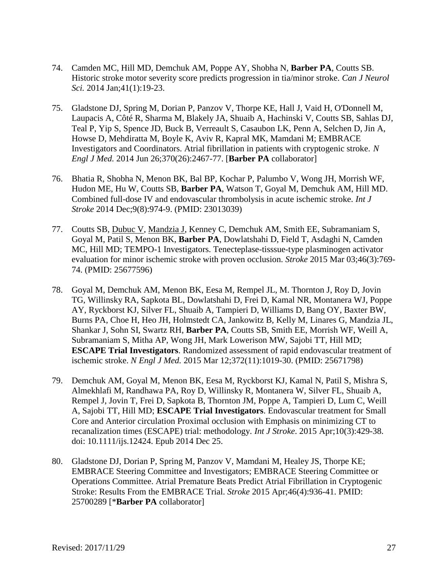- 74. Camden MC, Hill MD, Demchuk AM, Poppe AY, Shobha N, **Barber PA**, Coutts SB. Historic stroke motor severity score predicts progression in tia/minor stroke. *Can J Neurol Sci.* 2014 Jan;41(1):19-23.
- 75. Gladstone DJ, Spring M, Dorian P, Panzov V, Thorpe KE, Hall J, Vaid H, O'Donnell M, Laupacis A, Côté R, Sharma M, Blakely JA, Shuaib A, Hachinski V, Coutts SB, Sahlas DJ, Teal P, Yip S, Spence JD, Buck B, Verreault S, Casaubon LK, Penn A, Selchen D, Jin A, Howse D, Mehdiratta M, Boyle K, Aviv R, Kapral MK, Mamdani M; EMBRACE Investigators and Coordinators. Atrial fibrillation in patients with cryptogenic stroke. *N Engl J Med.* 2014 Jun 26;370(26):2467-77. [**Barber PA** collaborator]
- 76. Bhatia R, Shobha N, Menon BK, Bal BP, Kochar P, Palumbo V, Wong JH, Morrish WF, Hudon ME, Hu W, Coutts SB, **Barber PA**, Watson T, Goyal M, Demchuk AM, Hill MD. Combined full-dose IV and endovascular thrombolysis in acute ischemic stroke. *Int J Stroke* 2014 Dec;9(8):974-9. (PMID: 23013039)
- 77. Coutts SB, Dubuc V, Mandzia J, Kenney C, Demchuk AM, Smith EE, Subramaniam S, Goyal M, Patil S, Menon BK, **Barber PA**, Dowlatshahi D, Field T, Asdaghi N, Camden MC, Hill MD; TEMPO-1 Investigators. Tenecteplase-tisssue-type plasminogen activator evaluation for minor ischemic stroke with proven occlusion. *Stroke* 2015 Mar 03;46(3):769- 74. (PMID: 25677596)
- 78. Goyal M, Demchuk AM, Menon BK, Eesa M, Rempel JL, M. Thornton J, Roy D, Jovin TG, Willinsky RA, Sapkota BL, Dowlatshahi D, Frei D, Kamal NR, Montanera WJ, Poppe AY, Ryckborst KJ, Silver FL, Shuaib A, Tampieri D, Williams D, Bang OY, Baxter BW, Burns PA, Choe H, Heo JH, Holmstedt CA, Jankowitz B, Kelly M, Linares G, Mandzia JL, Shankar J, Sohn SI, Swartz RH, **Barber PA**, Coutts SB, Smith EE, Morrish WF, Weill A, Subramaniam S, Mitha AP, Wong JH, Mark Lowerison MW, Sajobi TT, Hill MD; **ESCAPE Trial Investigators**. Randomized assessment of rapid endovascular treatment of ischemic stroke. *N Engl J Med.* 2015 Mar 12;372(11):1019-30. (PMID: 25671798)
- 79. [Demchuk AM,](http://www.ncbi.nlm.nih.gov/pubmed/?term=Demchuk%20AM%5BAuthor%5D&cauthor=true&cauthor_uid=25546514) [Goyal M,](http://www.ncbi.nlm.nih.gov/pubmed/?term=Goyal%20M%5BAuthor%5D&cauthor=true&cauthor_uid=25546514) [Menon BK,](http://www.ncbi.nlm.nih.gov/pubmed/?term=Menon%20BK%5BAuthor%5D&cauthor=true&cauthor_uid=25546514) [Eesa M,](http://www.ncbi.nlm.nih.gov/pubmed/?term=Eesa%20M%5BAuthor%5D&cauthor=true&cauthor_uid=25546514) [Ryckborst KJ,](http://www.ncbi.nlm.nih.gov/pubmed/?term=Ryckborst%20KJ%5BAuthor%5D&cauthor=true&cauthor_uid=25546514) [Kamal N,](http://www.ncbi.nlm.nih.gov/pubmed/?term=Kamal%20N%5BAuthor%5D&cauthor=true&cauthor_uid=25546514) [Patil S,](http://www.ncbi.nlm.nih.gov/pubmed/?term=Patil%20S%5BAuthor%5D&cauthor=true&cauthor_uid=25546514) [Mishra S,](http://www.ncbi.nlm.nih.gov/pubmed/?term=Mishra%20S%5BAuthor%5D&cauthor=true&cauthor_uid=25546514) [Almekhlafi M,](http://www.ncbi.nlm.nih.gov/pubmed/?term=Almekhlafi%20M%5BAuthor%5D&cauthor=true&cauthor_uid=25546514) [Randhawa PA,](http://www.ncbi.nlm.nih.gov/pubmed/?term=Randhawa%20PA%5BAuthor%5D&cauthor=true&cauthor_uid=25546514) [Roy D,](http://www.ncbi.nlm.nih.gov/pubmed/?term=Roy%20D%5BAuthor%5D&cauthor=true&cauthor_uid=25546514) [Willinsky R,](http://www.ncbi.nlm.nih.gov/pubmed/?term=Willinsky%20R%5BAuthor%5D&cauthor=true&cauthor_uid=25546514) [Montanera W,](http://www.ncbi.nlm.nih.gov/pubmed/?term=Montanera%20W%5BAuthor%5D&cauthor=true&cauthor_uid=25546514) [Silver FL,](http://www.ncbi.nlm.nih.gov/pubmed/?term=Silver%20FL%5BAuthor%5D&cauthor=true&cauthor_uid=25546514) [Shuaib A,](http://www.ncbi.nlm.nih.gov/pubmed/?term=Shuaib%20A%5BAuthor%5D&cauthor=true&cauthor_uid=25546514) [Rempel J,](http://www.ncbi.nlm.nih.gov/pubmed/?term=Rempel%20J%5BAuthor%5D&cauthor=true&cauthor_uid=25546514) [Jovin T,](http://www.ncbi.nlm.nih.gov/pubmed/?term=Jovin%20T%5BAuthor%5D&cauthor=true&cauthor_uid=25546514) [Frei D,](http://www.ncbi.nlm.nih.gov/pubmed/?term=Frei%20D%5BAuthor%5D&cauthor=true&cauthor_uid=25546514) [Sapkota B,](http://www.ncbi.nlm.nih.gov/pubmed/?term=Sapkota%20B%5BAuthor%5D&cauthor=true&cauthor_uid=25546514) [Thornton JM,](http://www.ncbi.nlm.nih.gov/pubmed/?term=Thornton%20JM%5BAuthor%5D&cauthor=true&cauthor_uid=25546514) [Poppe A,](http://www.ncbi.nlm.nih.gov/pubmed/?term=Poppe%20A%5BAuthor%5D&cauthor=true&cauthor_uid=25546514) [Tampieri D,](http://www.ncbi.nlm.nih.gov/pubmed/?term=Tampieri%20D%5BAuthor%5D&cauthor=true&cauthor_uid=25546514) [Lum C,](http://www.ncbi.nlm.nih.gov/pubmed/?term=Lum%20C%5BAuthor%5D&cauthor=true&cauthor_uid=25546514) [Weill](http://www.ncbi.nlm.nih.gov/pubmed/?term=Weill%20A%5BAuthor%5D&cauthor=true&cauthor_uid=25546514)  [A,](http://www.ncbi.nlm.nih.gov/pubmed/?term=Weill%20A%5BAuthor%5D&cauthor=true&cauthor_uid=25546514) [Sajobi TT,](http://www.ncbi.nlm.nih.gov/pubmed/?term=Sajobi%20TT%5BAuthor%5D&cauthor=true&cauthor_uid=25546514) [Hill MD;](http://www.ncbi.nlm.nih.gov/pubmed/?term=Hill%20MD%5BAuthor%5D&cauthor=true&cauthor_uid=25546514) **[ESCAPE Trial Investigators](http://www.ncbi.nlm.nih.gov/pubmed/?term=ESCAPE%20Trial%20Investigators%5BCorporate%20Author%5D)**. Endovascular treatment for Small Core and Anterior circulation Proximal occlusion with Emphasis on minimizing CT to recanalization times (ESCAPE) trial: methodology. *[Int J Stroke](http://www.ncbi.nlm.nih.gov/pubmed/25546514)*. 2015 Apr;10(3):429-38. doi: 10.1111/ijs.12424. Epub 2014 Dec 25.
- 80. Gladstone DJ, Dorian P, Spring M, Panzov V, Mamdani M, Healey JS, Thorpe KE; EMBRACE Steering Committee and Investigators; EMBRACE Steering Committee or Operations Committee. Atrial Premature Beats Predict Atrial Fibrillation in Cryptogenic Stroke: Results From the EMBRACE Trial. *Stroke* 2015 Apr;46(4):936-41. PMID: 25700289 [\***Barber PA** collaborator]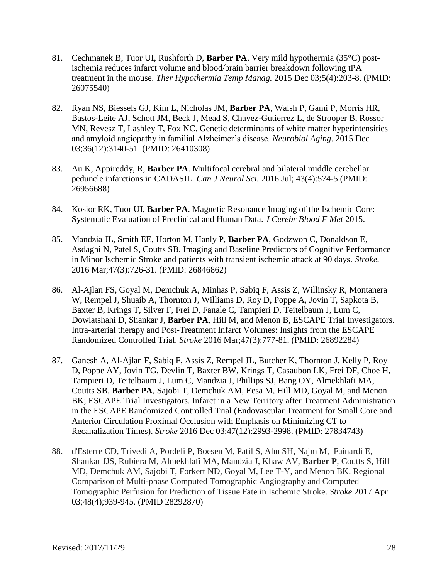- 81. Cechmanek B, Tuor UI, Rushforth D, **Barber PA**. Very mild hypothermia (35°C) postischemia reduces infarct volume and blood/brain barrier breakdown following tPA treatment in the mouse. *Ther Hypothermia Temp Manag.* 2015 Dec 03;5(4):203-8. (PMID: 26075540)
- 82. Ryan NS, Biessels GJ, Kim L, Nicholas JM, **Barber PA**, Walsh P, Gami P, Morris HR, Bastos-Leite AJ, Schott JM, Beck J, Mead S, Chavez-Gutierrez L, de Strooper B, Rossor MN, Revesz T, Lashley T, Fox NC. Genetic determinants of white matter hyperintensities and amyloid angiopathy in familial Alzheimer's disease. *Neurobiol Aging*. 2015 Dec 03;36(12):3140-51. (PMID: 26410308)
- 83. Au K, Appireddy, R, **Barber PA**. Multifocal cerebral and bilateral middle cerebellar peduncle infarctions in CADASIL. *Can J Neurol Sci.* 2016 Jul; 43(4):574-5 (PMID: 26956688)
- 84. Kosior RK, Tuor UI, **Barber PA**. Magnetic Resonance Imaging of the Ischemic Core: Systematic Evaluation of Preclinical and Human Data. *J Cerebr Blood F Met* 2015.
- 85. Mandzia JL, Smith EE, Horton M, Hanly P, **Barber PA**, Godzwon C, Donaldson E, Asdaghi N, Patel S, Coutts SB. Imaging and Baseline Predictors of Cognitive Performance in Minor Ischemic Stroke and patients with transient ischemic attack at 90 days. *Stroke.* 2016 Mar;47(3):726-31. (PMID: 26846862)
- 86. Al-Ajlan FS, Goyal M, Demchuk A, Minhas P, Sabiq F, Assis Z, Willinsky R, Montanera W, Rempel J, Shuaib A, Thornton J, Williams D, Roy D, Poppe A, Jovin T, Sapkota B, Baxter B, Krings T, Silver F, Frei D, Fanale C, Tampieri D, Teitelbaum J, Lum C, Dowlatshahi D, Shankar J, **Barber PA**, Hill M, and Menon B, ESCAPE Trial Investigators. Intra-arterial therapy and Post-Treatment Infarct Volumes: Insights from the ESCAPE Randomized Controlled Trial. *Stroke* 2016 Mar;47(3):777-81. (PMID: 26892284)
- 87. Ganesh A, Al-Ajlan F, Sabiq F, Assis Z, Rempel JL, Butcher K, Thornton J, Kelly P, Roy D, Poppe AY, Jovin TG, Devlin T, Baxter BW, Krings T, Casaubon LK, Frei DF, Choe H, Tampieri D, Teitelbaum J, Lum C, Mandzia J, Phillips SJ, Bang OY, Almekhlafi MA, Coutts SB, **Barber PA**, Sajobi T, Demchuk AM, Eesa M, Hill MD, Goyal M, and Menon BK; ESCAPE Trial Investigators. Infarct in a New Territory after Treatment Administration in the ESCAPE Randomized Controlled Trial (Endovascular Treatment for Small Core and Anterior Circulation Proximal Occlusion with Emphasis on Minimizing CT to Recanalization Times). *Stroke* 2016 Dec 03;47(12):2993-2998. (PMID: 27834743)
- 88. d'Esterre CD, Trivedi A, Pordeli P, Boesen M, Patil S, Ahn SH, Najm M, Fainardi E, Shankar JJS, Rubiera M, Almekhlafi MA, Mandzia J, Khaw AV, **Barber P**, Coutts S, Hill MD, Demchuk AM, Sajobi T, Forkert ND, Goyal M, Lee T-Y, and Menon BK. Regional Comparison of Multi-phase Computed Tomographic Angiography and Computed Tomographic Perfusion for Prediction of Tissue Fate in Ischemic Stroke. *Stroke* 2017 Apr 03;48(4);939-945. (PMID 28292870)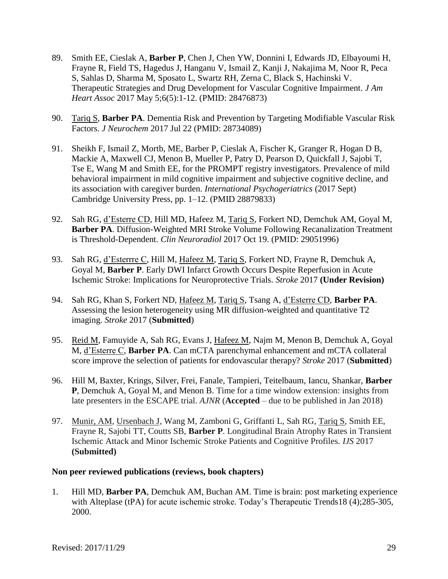- 89. Smith EE, Cieslak A, **Barber P**, Chen J, Chen YW, Donnini I, Edwards JD, Elbayoumi H, Frayne R, Field TS, Hagedus J, Hanganu V, Ismail Z, Kanji J, Nakajima M, Noor R, Peca S, Sahlas D, Sharma M, Sposato L, Swartz RH, Zerna C, Black S, Hachinski V. Therapeutic Strategies and Drug Development for Vascular Cognitive Impairment. *J Am Heart Assoc* 2017 May 5;6(5):1-12. (PMID: 28476873)
- 90. Tariq S, **Barber PA**. Dementia Risk and Prevention by Targeting Modifiable Vascular Risk Factors. *J Neurochem* 2017 Jul 22 (PMID: 28734089)
- 91. Sheikh F, Ismail Z, Mortb, ME, Barber P, Cieslak A, Fischer K, Granger R, Hogan D B, Mackie A, Maxwell CJ, Menon B, Mueller P, Patry D, Pearson D, Quickfall J, Sajobi T, Tse E, Wang M and Smith EE, for the PROMPT registry investigators. Prevalence of mild behavioral impairment in mild cognitive impairment and subjective cognitive decline, and its association with caregiver burden. *International Psychogeriatrics* (2017 Sept) Cambridge University Press, pp. 1–12. (PMID 28879833)
- 92. Sah RG, d'Esterre CD, Hill MD, Hafeez M, Tariq S, Forkert ND, Demchuk AM, Goyal M, **Barber PA**. Diffusion-Weighted MRI Stroke Volume Following Recanalization Treatment is Threshold-Dependent. *Clin Neuroradiol* 2017 Oct 19. (PMID: 29051996)
- 93. Sah RG, d'Esterrre C, Hill M, Hafeez M, Tariq S, Forkert ND, Frayne R, Demchuk A, Goyal M, **Barber P**. Early DWI Infarct Growth Occurs Despite Reperfusion in Acute Ischemic Stroke: Implications for Neuroprotective Trials. *Stroke* 2017 **(Under Revision)**
- 94. Sah RG, Khan S, Forkert ND, Hafeez M, Tariq S, Tsang A, d'Esterre CD, **Barber PA**. Assessing the lesion heterogeneity using MR diffusion-weighted and quantitative T2 imaging. *Stroke* 2017 (**Submitted**)
- 95. Reid M, Famuyide A, Sah RG, Evans J, Hafeez M, Najm M, Menon B, Demchuk A, Goyal M, d'Esterre C, **Barber PA**. Can mCTA parenchymal enhancement and mCTA collateral score improve the selection of patients for endovascular therapy? *Stroke* 2017 (**Submitted**)
- 96. Hill M, Baxter, Krings, Silver, Frei, Fanale, Tampieri, Teitelbaum, Iancu, Shankar, **Barber P**, Demchuk A, Goyal M, and Menon B. Time for a time window extension: insights from late presenters in the ESCAPE trial. *AJNR* (**Accepted** – due to be published in Jan 2018)
- 97. Munir, AM, Ursenbach J, Wang M, Zamboni G, Griffanti L, Sah RG, Tariq S, Smith EE, Frayne R, Sajobi TT, Coutts SB, **Barber P**. Longitudinal Brain Atrophy Rates in Transient Ischemic Attack and Minor Ischemic Stroke Patients and Cognitive Profiles. *IJS* 2017 **(Submitted)**

### **Non peer reviewed publications (reviews, book chapters)**

1. Hill MD, **Barber PA**, Demchuk AM, Buchan AM. Time is brain: post marketing experience with Alteplase (tPA) for acute ischemic stroke. Today's Therapeutic Trends18 (4);285-305, 2000.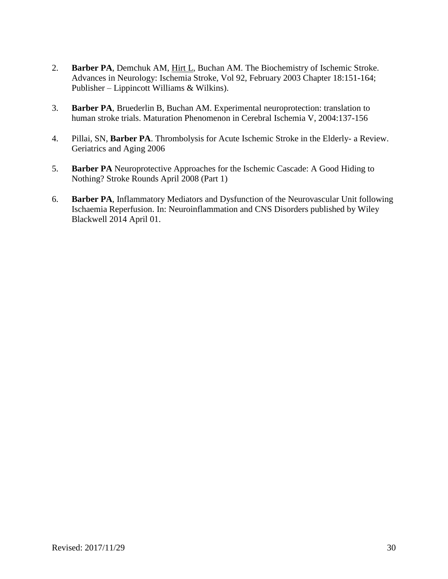- 2. **Barber PA**, Demchuk AM, Hirt L, Buchan AM. The Biochemistry of Ischemic Stroke. Advances in Neurology: Ischemia Stroke, Vol 92, February 2003 Chapter 18:151-164; Publisher – Lippincott Williams & Wilkins).
- 3. **Barber PA**, Bruederlin B, Buchan AM. Experimental neuroprotection: translation to human stroke trials. Maturation Phenomenon in Cerebral Ischemia V, 2004:137-156
- 4. Pillai, SN, **Barber PA**. Thrombolysis for Acute Ischemic Stroke in the Elderly- a Review. Geriatrics and Aging 2006
- 5. **Barber PA** Neuroprotective Approaches for the Ischemic Cascade: A Good Hiding to Nothing? Stroke Rounds April 2008 (Part 1)
- 6. **Barber PA**, Inflammatory Mediators and Dysfunction of the Neurovascular Unit following Ischaemia Reperfusion. In: Neuroinflammation and CNS Disorders published by Wiley Blackwell 2014 April 01.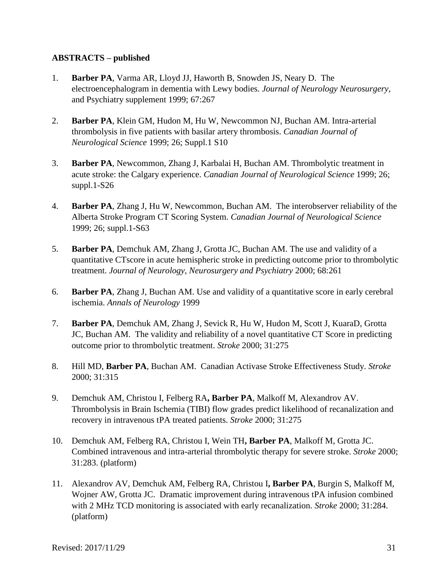# **ABSTRACTS – published**

- 1. **Barber PA**, Varma AR, Lloyd JJ, Haworth B, Snowden JS, Neary D. The electroencephalogram in dementia with Lewy bodies. *Journal of Neurology Neurosurgery*, and Psychiatry supplement 1999; 67:267
- 2. **Barber PA**, Klein GM, Hudon M, Hu W, Newcommon NJ, Buchan AM. Intra-arterial thrombolysis in five patients with basilar artery thrombosis. *Canadian Journal of Neurological Science* 1999; 26; Suppl.1 S10
- 3. **Barber PA**, Newcommon, Zhang J, Karbalai H, Buchan AM. Thrombolytic treatment in acute stroke: the Calgary experience. *Canadian Journal of Neurological Science* 1999; 26; suppl.1-S26
- 4. **Barber PA**, Zhang J, Hu W, Newcommon, Buchan AM. The interobserver reliability of the Alberta Stroke Program CT Scoring System. *Canadian Journal of Neurological Science* 1999; 26; suppl.1-S63
- 5. **Barber PA**, Demchuk AM, Zhang J, Grotta JC, Buchan AM. The use and validity of a quantitative CTscore in acute hemispheric stroke in predicting outcome prior to thrombolytic treatment. *Journal of Neurology, Neurosurgery and Psychiatry* 2000; 68:261
- 6. **Barber PA**, Zhang J, Buchan AM. Use and validity of a quantitative score in early cerebral ischemia. *Annals of Neurology* 1999
- 7. **Barber PA**, Demchuk AM, Zhang J, Sevick R, Hu W, Hudon M, Scott J, KuaraD, Grotta JC, Buchan AM. The validity and reliability of a novel quantitative CT Score in predicting outcome prior to thrombolytic treatment. *Stroke* 2000; 31:275
- 8. Hill MD, **Barber PA**, Buchan AM. Canadian Activase Stroke Effectiveness Study. *Stroke* 2000; 31:315
- 9. Demchuk AM, Christou I, Felberg RA**, Barber PA**, Malkoff M, Alexandrov AV. Thrombolysis in Brain Ischemia (TIBI) flow grades predict likelihood of recanalization and recovery in intravenous tPA treated patients. *Stroke* 2000; 31:275
- 10. Demchuk AM, Felberg RA, Christou I, Wein TH**, Barber PA**, Malkoff M, Grotta JC. Combined intravenous and intra-arterial thrombolytic therapy for severe stroke. *Stroke* 2000; 31:283. (platform)
- 11. Alexandrov AV, Demchuk AM, Felberg RA, Christou I**, Barber PA**, Burgin S, Malkoff M, Wojner AW, Grotta JC. Dramatic improvement during intravenous tPA infusion combined with 2 MHz TCD monitoring is associated with early recanalization. *Stroke* 2000; 31:284. (platform)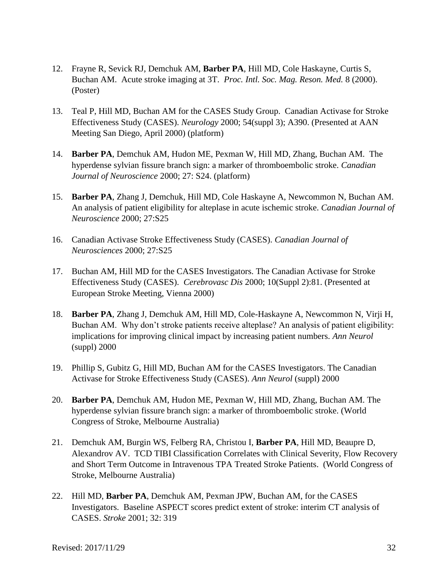- 12. Frayne R, Sevick RJ, Demchuk AM, **Barber PA**, Hill MD, Cole Haskayne, Curtis S, Buchan AM. Acute stroke imaging at 3T. *Proc. Intl. Soc. Mag. Reson. Med.* 8 (2000). (Poster)
- 13. Teal P, Hill MD, Buchan AM for the CASES Study Group. Canadian Activase for Stroke Effectiveness Study (CASES). *Neurology* 2000; 54(suppl 3); A390. (Presented at AAN Meeting San Diego, April 2000) (platform)
- 14. **Barber PA**, Demchuk AM, Hudon ME, Pexman W, Hill MD, Zhang, Buchan AM. The hyperdense sylvian fissure branch sign: a marker of thromboembolic stroke. *Canadian Journal of Neuroscience* 2000; 27: S24. (platform)
- 15. **Barber PA**, Zhang J, Demchuk, Hill MD, Cole Haskayne A, Newcommon N, Buchan AM. An analysis of patient eligibility for alteplase in acute ischemic stroke. *Canadian Journal of Neuroscience* 2000; 27:S25
- 16. Canadian Activase Stroke Effectiveness Study (CASES). *Canadian Journal of Neurosciences* 2000; 27:S25
- 17. Buchan AM, Hill MD for the CASES Investigators. The Canadian Activase for Stroke Effectiveness Study (CASES). *Cerebrovasc Dis* 2000; 10(Suppl 2):81. (Presented at European Stroke Meeting, Vienna 2000)
- 18. **Barber PA**, Zhang J, Demchuk AM, Hill MD, Cole-Haskayne A, Newcommon N, Virji H, Buchan AM. Why don't stroke patients receive alteplase? An analysis of patient eligibility: implications for improving clinical impact by increasing patient numbers. *Ann Neurol* (suppl) 2000
- 19. Phillip S, Gubitz G, Hill MD, Buchan AM for the CASES Investigators. The Canadian Activase for Stroke Effectiveness Study (CASES). *Ann Neurol* (suppl) 2000
- 20. **Barber PA**, Demchuk AM, Hudon ME, Pexman W, Hill MD, Zhang, Buchan AM. The hyperdense sylvian fissure branch sign: a marker of thromboembolic stroke. (World Congress of Stroke, Melbourne Australia)
- 21. Demchuk AM, Burgin WS, Felberg RA, Christou I, **Barber PA**, Hill MD, Beaupre D, Alexandrov AV. TCD TIBI Classification Correlates with Clinical Severity, Flow Recovery and Short Term Outcome in Intravenous TPA Treated Stroke Patients. (World Congress of Stroke, Melbourne Australia)
- 22. Hill MD, **Barber PA**, Demchuk AM, Pexman JPW, Buchan AM, for the CASES Investigators. Baseline ASPECT scores predict extent of stroke: interim CT analysis of CASES. *Stroke* 2001; 32: 319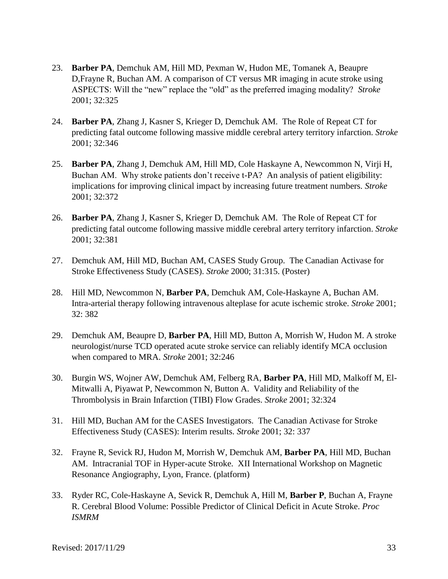- 23. **Barber PA**, Demchuk AM, Hill MD, Pexman W, Hudon ME, Tomanek A, Beaupre D,Frayne R, Buchan AM. A comparison of CT versus MR imaging in acute stroke using ASPECTS: Will the "new" replace the "old" as the preferred imaging modality? *Stroke*  2001; 32:325
- 24. **Barber PA**, Zhang J, Kasner S, Krieger D, Demchuk AM. The Role of Repeat CT for predicting fatal outcome following massive middle cerebral artery territory infarction. *Stroke*  2001; 32:346
- 25. **Barber PA**, Zhang J, Demchuk AM, Hill MD, Cole Haskayne A, Newcommon N, Virji H, Buchan AM. Why stroke patients don't receive t-PA? An analysis of patient eligibility: implications for improving clinical impact by increasing future treatment numbers. *Stroke* 2001; 32:372
- 26. **Barber PA**, Zhang J, Kasner S, Krieger D, Demchuk AM. The Role of Repeat CT for predicting fatal outcome following massive middle cerebral artery territory infarction. *Stroke*  2001; 32:381
- 27. Demchuk AM, Hill MD, Buchan AM, CASES Study Group. The Canadian Activase for Stroke Effectiveness Study (CASES). *Stroke* 2000; 31:315. (Poster)
- 28. Hill MD, Newcommon N, **Barber PA**, Demchuk AM, Cole-Haskayne A, Buchan AM. Intra-arterial therapy following intravenous alteplase for acute ischemic stroke. *Stroke* 2001; 32: 382
- 29. Demchuk AM, Beaupre D, **Barber PA**, Hill MD, Button A, Morrish W, Hudon M. A stroke neurologist/nurse TCD operated acute stroke service can reliably identify MCA occlusion when compared to MRA. *Stroke* 2001; 32:246
- 30. Burgin WS, Wojner AW, Demchuk AM, Felberg RA, **Barber PA**, Hill MD, Malkoff M, El-Mitwalli A, Piyawat P, Newcommon N, Button A. Validity and Reliability of the Thrombolysis in Brain Infarction (TIBI) Flow Grades. *Stroke* 2001; 32:324
- 31. Hill MD, Buchan AM for the CASES Investigators. The Canadian Activase for Stroke Effectiveness Study (CASES): Interim results. *Stroke* 2001; 32: 337
- 32. Frayne R, Sevick RJ, Hudon M, Morrish W, Demchuk AM, **Barber PA**, Hill MD, Buchan AM. Intracranial TOF in Hyper-acute Stroke. XII International Workshop on Magnetic Resonance Angiography, Lyon, France. (platform)
- 33. Ryder RC, Cole-Haskayne A, Sevick R, Demchuk A, Hill M, **Barber P**, Buchan A, Frayne R. Cerebral Blood Volume: Possible Predictor of Clinical Deficit in Acute Stroke. *Proc ISMRM*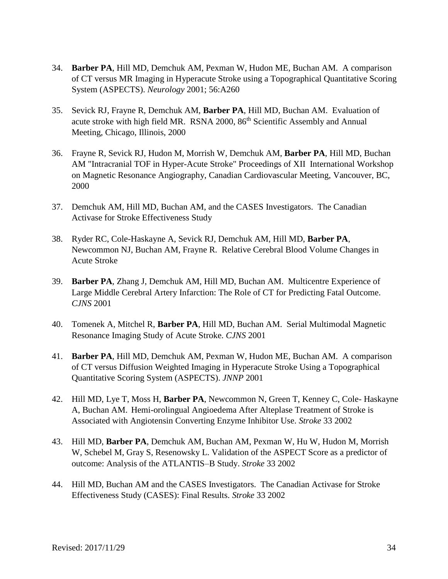- 34. **Barber PA**, Hill MD, Demchuk AM, Pexman W, Hudon ME, Buchan AM. A comparison of CT versus MR Imaging in Hyperacute Stroke using a Topographical Quantitative Scoring System (ASPECTS). *Neurology* 2001; 56:A260
- 35. Sevick RJ, Frayne R, Demchuk AM, **Barber PA**, Hill MD, Buchan AM. Evaluation of acute stroke with high field MR. RSNA 2000, 86<sup>th</sup> Scientific Assembly and Annual Meeting, Chicago, Illinois, 2000
- 36. Frayne R, Sevick RJ, Hudon M, Morrish W, Demchuk AM, **Barber PA**, Hill MD, Buchan AM "Intracranial TOF in Hyper-Acute Stroke" Proceedings of XII International Workshop on Magnetic Resonance Angiography, Canadian Cardiovascular Meeting, Vancouver, BC, 2000
- 37. Demchuk AM, Hill MD, Buchan AM, and the CASES Investigators. The Canadian Activase for Stroke Effectiveness Study
- 38. Ryder RC, Cole-Haskayne A, Sevick RJ, Demchuk AM, Hill MD, **Barber PA**, Newcommon NJ, Buchan AM, Frayne R. Relative Cerebral Blood Volume Changes in Acute Stroke
- 39. **Barber PA**, Zhang J, Demchuk AM, Hill MD, Buchan AM. Multicentre Experience of Large Middle Cerebral Artery Infarction: The Role of CT for Predicting Fatal Outcome. *CJNS* 2001
- 40. Tomenek A, Mitchel R, **Barber PA**, Hill MD, Buchan AM. Serial Multimodal Magnetic Resonance Imaging Study of Acute Stroke. *CJNS* 2001
- 41. **Barber PA**, Hill MD, Demchuk AM, Pexman W, Hudon ME, Buchan AM. A comparison of CT versus Diffusion Weighted Imaging in Hyperacute Stroke Using a Topographical Quantitative Scoring System (ASPECTS). *JNNP* 2001
- 42. Hill MD, Lye T, Moss H, **Barber PA**, Newcommon N, Green T, Kenney C, Cole- Haskayne A, Buchan AM.Hemi-orolingual Angioedema After Alteplase Treatment of Stroke is Associated with Angiotensin Converting Enzyme Inhibitor Use. *Stroke* 33 2002
- 43. Hill MD, **Barber PA**, Demchuk AM, Buchan AM, Pexman W, Hu W, Hudon M, Morrish W, Schebel M, Gray S, Resenowsky L. Validation of the ASPECT Score as a predictor of outcome: Analysis of the ATLANTIS–B Study. *Stroke* 33 2002
- 44. Hill MD, Buchan AM and the CASES Investigators. The Canadian Activase for Stroke Effectiveness Study (CASES): Final Results. *Stroke* 33 2002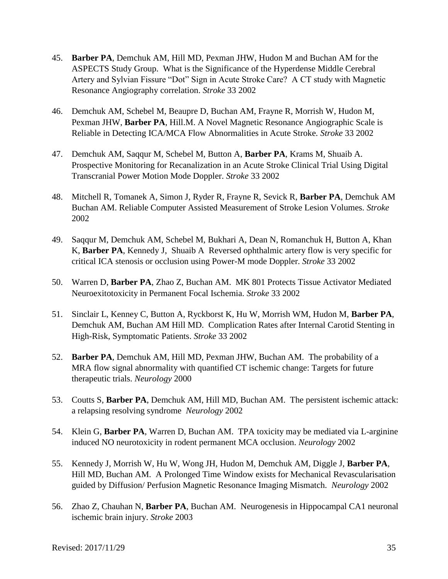- 45. **Barber PA**, Demchuk AM, Hill MD, Pexman JHW, Hudon M and Buchan AM for the ASPECTS Study Group. What is the Significance of the Hyperdense Middle Cerebral Artery and Sylvian Fissure "Dot" Sign in Acute Stroke Care? A CT study with Magnetic Resonance Angiography correlation. *Stroke* 33 2002
- 46. Demchuk AM, Schebel M, Beaupre D, Buchan AM, Frayne R, Morrish W, Hudon M, Pexman JHW, **Barber PA**, Hill.M. A Novel Magnetic Resonance Angiographic Scale is Reliable in Detecting ICA/MCA Flow Abnormalities in Acute Stroke*. Stroke* 33 2002
- 47. Demchuk AM, Saqqur M, Schebel M, Button A, **Barber PA**, Krams M, Shuaib A. Prospective Monitoring for Recanalization in an Acute Stroke Clinical Trial Using Digital Transcranial Power Motion Mode Doppler. *Stroke* 33 2002
- 48. Mitchell R, Tomanek A, Simon J, Ryder R, Frayne R, Sevick R, **Barber PA**, Demchuk AM Buchan AM. Reliable Computer Assisted Measurement of Stroke Lesion Volumes. *Stroke* 2002
- 49. Saqqur M, Demchuk AM, Schebel M, Bukhari A, Dean N, Romanchuk H, Button A, Khan K, **Barber PA**, Kennedy J, Shuaib A Reversed ophthalmic artery flow is very specific for critical ICA stenosis or occlusion using Power-M mode Doppler. *Stroke* 33 2002
- 50. Warren D, **Barber PA**, Zhao Z, Buchan AM. MK 801 Protects Tissue Activator Mediated Neuroexitotoxicity in Permanent Focal Ischemia. *Stroke* 33 2002
- 51. Sinclair L, Kenney C, Button A, Ryckborst K, Hu W, Morrish WM, Hudon M, **Barber PA**, Demchuk AM, Buchan AM Hill MD. Complication Rates after Internal Carotid Stenting in High-Risk, Symptomatic Patients. *Stroke* 33 2002
- 52. **Barber PA**, Demchuk AM, Hill MD, Pexman JHW, Buchan AM. The probability of a MRA flow signal abnormality with quantified CT ischemic change: Targets for future therapeutic trials. *Neurology* 2000
- 53. Coutts S, **Barber PA**, Demchuk AM, Hill MD, Buchan AM. The persistent ischemic attack: a relapsing resolving syndrome *Neurology* 2002
- 54. Klein G, **Barber PA**, Warren D, Buchan AM. TPA toxicity may be mediated via L-arginine induced NO neurotoxicity in rodent permanent MCA occlusion. *Neurology* 2002
- 55. Kennedy J, Morrish W, Hu W, Wong JH, Hudon M, Demchuk AM, Diggle J, **Barber PA**, Hill MD, Buchan AM. A Prolonged Time Window exists for Mechanical Revascularisation guided by Diffusion/ Perfusion Magnetic Resonance Imaging Mismatch. *Neurology* 2002
- 56. Zhao Z, Chauhan N, **Barber PA**, Buchan AM. Neurogenesis in Hippocampal CA1 neuronal ischemic brain injury. *Stroke* 2003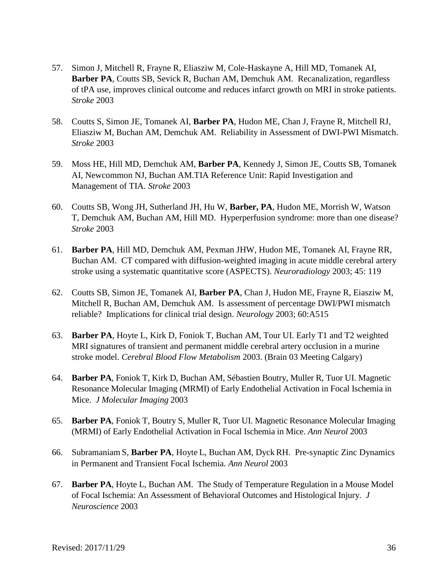- 57. Simon J, Mitchell R, Frayne R, Eliasziw M, Cole-Haskayne A, Hill MD, Tomanek AI, **Barber PA**, Coutts SB, Sevick R, Buchan AM, Demchuk AM. Recanalization, regardless of tPA use, improves clinical outcome and reduces infarct growth on MRI in stroke patients. *Stroke* 2003
- 58. Coutts S, Simon JE, Tomanek AI, **Barber PA**, Hudon ME, Chan J, Frayne R, Mitchell RJ, Eliasziw M, Buchan AM, Demchuk AM. Reliability in Assessment of DWI-PWI Mismatch. *Stroke* 2003
- 59. Moss HE, Hill MD, Demchuk AM, **Barber PA**, Kennedy J, Simon JE, Coutts SB, Tomanek AI, Newcommon NJ, Buchan AM.TIA Reference Unit: Rapid Investigation and Management of TIA. *Stroke* 2003
- 60. Coutts SB, Wong JH, Sutherland JH, Hu W, **Barber, PA**, Hudon ME, Morrish W, Watson T, Demchuk AM, Buchan AM, Hill MD. Hyperperfusion syndrome: more than one disease? *Stroke* 2003
- 61. **Barber PA**, Hill MD, Demchuk AM, Pexman JHW, Hudon ME, Tomanek AI, Frayne RR, Buchan AM. CT compared with diffusion-weighted imaging in acute middle cerebral artery stroke using a systematic quantitative score (ASPECTS). *Neuroradiology* 2003; 45: 119
- 62. Coutts SB, Simon JE, Tomanek AI, **Barber PA**, Chan J, Hudon ME, Frayne R, Eiasziw M, Mitchell R, Buchan AM, Demchuk AM. Is assessment of percentage DWI/PWI mismatch reliable? Implications for clinical trial design. *Neurology* 2003; 60:A515
- 63. **Barber PA**, Hoyte L, Kirk D, Foniok T, Buchan AM, Tour UI. Early T1 and T2 weighted MRI signatures of transient and permanent middle cerebral artery occlusion in a murine stroke model. *Cerebral Blood Flow Metabolism* 2003. (Brain 03 Meeting Calgary)
- 64. **Barber PA**, Foniok T, Kirk D, Buchan AM, Sébastien Boutry, Muller R, Tuor UI. Magnetic Resonance Molecular Imaging (MRMI) of Early Endothelial Activation in Focal Ischemia in Mice. *J Molecular Imaging* 2003
- 65. **Barber PA**, Foniok T, Boutry S, Muller R, Tuor UI. Magnetic Resonance Molecular Imaging (MRMI) of Early Endothelial Activation in Focal Ischemia in Mice. *Ann Neurol* 2003
- 66. Subramaniam S, **Barber PA**, Hoyte L, Buchan AM, Dyck RH. Pre-synaptic Zinc Dynamics in Permanent and Transient Focal Ischemia. *Ann Neurol* 2003
- 67. **Barber PA**, Hoyte L, Buchan AM. The Study of Temperature Regulation in a Mouse Model of Focal Ischemia: An Assessment of Behavioral Outcomes and Histological Injury. *J Neuroscience* 2003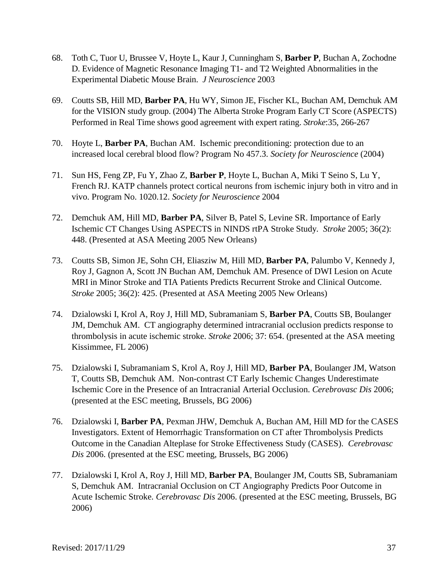- 68. Toth C, Tuor U, Brussee V, Hoyte L, Kaur J, Cunningham S, **Barber P**, Buchan A, Zochodne D. Evidence of Magnetic Resonance Imaging T1- and T2 Weighted Abnormalities in the Experimental Diabetic Mouse Brain. *J Neuroscience* 2003
- 69. Coutts SB, Hill MD, **Barber PA**, Hu WY, Simon JE, Fischer KL, Buchan AM, Demchuk AM for the VISION study group. (2004) The Alberta Stroke Program Early CT Score (ASPECTS) Performed in Real Time shows good agreement with expert rating. *Stroke*:35, 266-267
- 70. Hoyte L, **Barber PA**, Buchan AM. Ischemic preconditioning: protection due to an increased local cerebral blood flow? Program No 457.3. *Society for Neuroscience* (2004)
- 71. Sun HS, Feng ZP, Fu Y, Zhao Z, **Barber P**, Hoyte L, Buchan A, Miki T Seino S, Lu Y, French RJ. KATP channels protect cortical neurons from ischemic injury both in vitro and in vivo. Program No. 1020.12. *Society for Neuroscience* 2004
- 72. Demchuk AM, Hill MD, **Barber PA**, Silver B, Patel S, Levine SR. Importance of Early Ischemic CT Changes Using ASPECTS in NINDS rtPA Stroke Study*. Stroke* 2005; 36(2): 448. (Presented at ASA Meeting 2005 New Orleans)
- 73. Coutts SB, Simon JE, Sohn CH, Eliasziw M, Hill MD, **Barber PA**, Palumbo V, Kennedy J, Roy J, Gagnon A, Scott JN Buchan AM, Demchuk AM. Presence of DWI Lesion on Acute MRI in Minor Stroke and TIA Patients Predicts Recurrent Stroke and Clinical Outcome. *Stroke* 2005; 36(2): 425. (Presented at ASA Meeting 2005 New Orleans)
- 74. Dzialowski I, Krol A, Roy J, Hill MD, Subramaniam S, **Barber PA**, Coutts SB, Boulanger JM, Demchuk AM. CT angiography determined intracranial occlusion predicts response to thrombolysis in acute ischemic stroke. *Stroke* 2006; 37: 654. (presented at the ASA meeting Kissimmee, FL 2006)
- 75. Dzialowski I, Subramaniam S, Krol A, Roy J, Hill MD, **Barber PA**, Boulanger JM, Watson T, Coutts SB, Demchuk AM. Non-contrast CT Early Ischemic Changes Underestimate Ischemic Core in the Presence of an Intracranial Arterial Occlusion. *Cerebrovasc Dis* 2006; (presented at the ESC meeting, Brussels, BG 2006)
- 76. Dzialowski I, **Barber PA**, Pexman JHW, Demchuk A, Buchan AM, Hill MD for the CASES Investigators. Extent of Hemorrhagic Transformation on CT after Thrombolysis Predicts Outcome in the Canadian Alteplase for Stroke Effectiveness Study (CASES). *Cerebrovasc Dis* 2006. (presented at the ESC meeting, Brussels, BG 2006)
- 77. Dzialowski I, Krol A, Roy J, Hill MD, **Barber PA**, Boulanger JM, Coutts SB, Subramaniam S, Demchuk AM. Intracranial Occlusion on CT Angiography Predicts Poor Outcome in Acute Ischemic Stroke. *Cerebrovasc Dis* 2006. (presented at the ESC meeting, Brussels, BG 2006)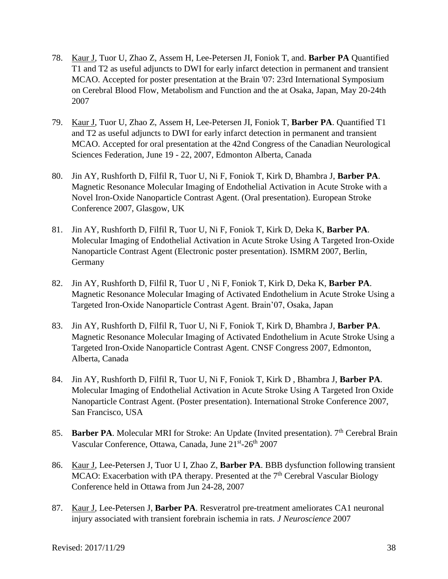- 78. Kaur J, Tuor U, Zhao Z, Assem H, Lee-Petersen JI, Foniok T, and. **Barber PA** Quantified T1 and T2 as useful adjuncts to DWI for early infarct detection in permanent and transient MCAO. Accepted for poster presentation at the Brain '07: 23rd International Symposium on Cerebral Blood Flow, Metabolism and Function and the at Osaka, Japan, May 20-24th 2007
- 79. Kaur J, Tuor U, Zhao Z, Assem H, Lee-Petersen JI, Foniok T, **Barber PA**. Quantified T1 and T2 as useful adjuncts to DWI for early infarct detection in permanent and transient MCAO. Accepted for oral presentation at the 42nd Congress of the Canadian Neurological Sciences Federation, June 19 - 22, 2007, Edmonton Alberta, Canada
- 80. Jin AY, Rushforth D, Filfil R, Tuor U, Ni F, Foniok T, Kirk D, Bhambra J, **Barber PA**. Magnetic Resonance Molecular Imaging of Endothelial Activation in Acute Stroke with a Novel Iron-Oxide Nanoparticle Contrast Agent. (Oral presentation). European Stroke Conference 2007, Glasgow, UK
- 81. Jin AY, Rushforth D, Filfil R, Tuor U, Ni F, Foniok T, Kirk D, Deka K, **Barber PA**. Molecular Imaging of Endothelial Activation in Acute Stroke Using A Targeted Iron-Oxide Nanoparticle Contrast Agent (Electronic poster presentation). ISMRM 2007, Berlin, **Germany**
- 82. Jin AY, Rushforth D, Filfil R, Tuor U , Ni F, Foniok T, Kirk D, Deka K, **Barber PA**. Magnetic Resonance Molecular Imaging of Activated Endothelium in Acute Stroke Using a Targeted Iron-Oxide Nanoparticle Contrast Agent. Brain'07, Osaka, Japan
- 83. Jin AY, Rushforth D, Filfil R, Tuor U, Ni F, Foniok T, Kirk D, Bhambra J, **Barber PA**. Magnetic Resonance Molecular Imaging of Activated Endothelium in Acute Stroke Using a Targeted Iron-Oxide Nanoparticle Contrast Agent. CNSF Congress 2007, Edmonton, Alberta, Canada
- 84. Jin AY, Rushforth D, Filfil R, Tuor U, Ni F, Foniok T, Kirk D , Bhambra J, **Barber PA**. Molecular Imaging of Endothelial Activation in Acute Stroke Using A Targeted Iron Oxide Nanoparticle Contrast Agent. (Poster presentation). International Stroke Conference 2007, San Francisco, USA
- 85. **Barber PA**. Molecular MRI for Stroke: An Update (Invited presentation). 7<sup>th</sup> Cerebral Brain Vascular Conference, Ottawa, Canada, June 21<sup>st</sup>-26<sup>th</sup> 2007
- 86. Kaur J, Lee-Petersen J, Tuor U I, Zhao Z, **Barber PA**. BBB dysfunction following transient MCAO: Exacerbation with tPA therapy. Presented at the  $7<sup>th</sup>$  Cerebral Vascular Biology Conference held in Ottawa from Jun 24-28, 2007
- 87. Kaur J, Lee-Petersen J, **Barber PA**. Resveratrol pre-treatment ameliorates CA1 neuronal injury associated with transient forebrain ischemia in rats. *J Neuroscience* 2007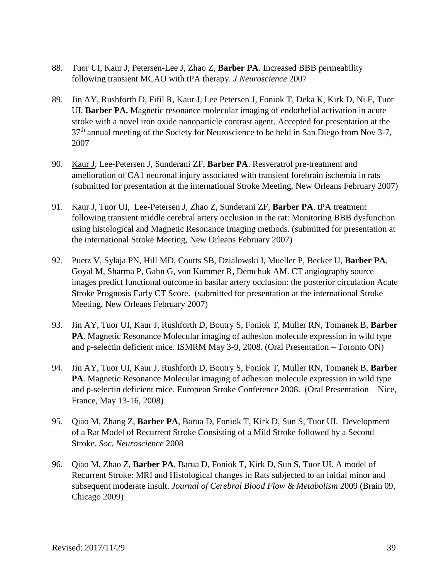- 88. Tuor UI, Kaur J, Petersen-Lee J, Zhao Z, **Barber PA**. Increased BBB permeability following transient MCAO with tPA therapy. *J Neuroscience* 2007
- 89. Jin AY, Rushforth D, Fifil R, Kaur J, Lee Petersen J, Foniok T, Deka K, Kirk D, Ni F, Tuor UI, **Barber PA.** Magnetic resonance molecular imaging of endothelial activation in acute stroke with a novel iron oxide nanoparticle contrast agent. Accepted for presentation at the  $37<sup>th</sup>$  annual meeting of the Society for Neuroscience to be held in San Diego from Nov 3-7, 2007
- 90. Kaur J, Lee-Petersen J, Sunderani ZF, **Barber PA**. Resveratrol pre-treatment and amelioration of CA1 neuronal injury associated with transient forebrain ischemia in rats (submitted for presentation at the international Stroke Meeting, New Orleans February 2007)
- 91. Kaur J, Tuor UI, Lee-Petersen J, Zhao Z, Sunderani ZF, **Barber PA**. tPA treatment following transient middle cerebral artery occlusion in the rat: Monitoring BBB dysfunction using histological and Magnetic Resonance Imaging methods. (submitted for presentation at the international Stroke Meeting, New Orleans February 2007)
- 92. Puetz V, Sylaja PN, Hill MD, Coutts SB, Dzialowski I, Mueller P, Becker U, **Barber PA**, Goyal M, Sharma P, Gahn G, von Kummer R, Demchuk AM. CT angiography source images predict functional outcome in basilar artery occlusion: the posterior circulation Acute Stroke Prognosis Early CT Score. (submitted for presentation at the international Stroke Meeting, New Orleans February 2007)
- 93. Jin AY, Tuor UI, Kaur J, Rushforth D, Boutry S, Foniok T, Muller RN, Tomanek B, **Barber PA**. Magnetic Resonance Molecular imaging of adhesion molecule expression in wild type and p-selectin deficient mice. ISMRM May 3-9, 2008. (Oral Presentation – Toronto ON)
- 94. Jin AY, Tuor UI, Kaur J, Rushforth D, Boutry S, Foniok T, Muller RN, Tomanek B, **Barber PA**. Magnetic Resonance Molecular imaging of adhesion molecule expression in wild type and p-selectin deficient mice. European Stroke Conference 2008. (Oral Presentation – Nice, France, May 13-16, 2008)
- 95. Qiao M, Zhang Z, **Barber PA**, Barua D, Foniok T, Kirk D, Sun S, Tuor UI. Development of a Rat Model of Recurrent Stroke Consisting of a Mild Stroke followed by a Second Stroke. *Soc. Neuroscience* 2008
- 96. Qiao M, Zhao Z, **Barber PA**, Barua D, Foniok T, Kirk D, Sun S, Tuor UI. A model of Recurrent Stroke: MRI and Histological changes in Rats subjected to an initial minor and subsequent moderate insult. *Journal of Cerebral Blood Flow & Metabolism* 2009 (Brain 09, Chicago 2009)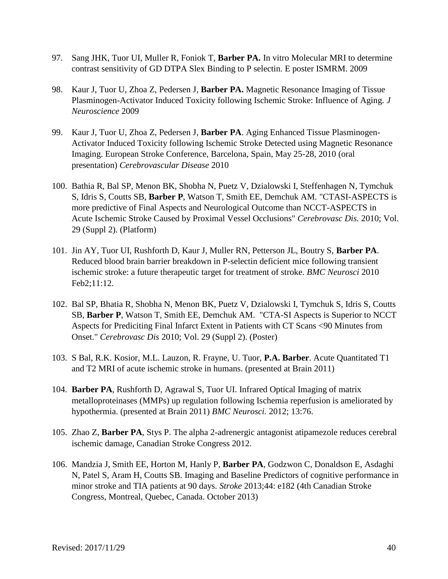- 97. Sang JHK, Tuor UI, Muller R, Foniok T, **Barber PA.** In vitro Molecular MRI to determine contrast sensitivity of GD DTPA Slex Binding to P selectin. E poster ISMRM. 2009
- 98. Kaur J, Tuor U, Zhoa Z, Pedersen J, **Barber PA.** Magnetic Resonance Imaging of Tissue Plasminogen-Activator Induced Toxicity following Ischemic Stroke: Influence of Aging. *J Neuroscience* 2009
- 99. Kaur J, Tuor U, Zhoa Z, Pedersen J, **Barber PA**. Aging Enhanced Tissue Plasminogen-Activator Induced Toxicity following Ischemic Stroke Detected using Magnetic Resonance Imaging. European Stroke Conference, Barcelona, Spain, May 25-28, 2010 (oral presentation) *Cerebrovascular Disease* 2010
- 100. Bathia R, Bal SP, Menon BK, Shobha N, Puetz V, Dzialowski I, Steffenhagen N, Tymchuk S, Idris S, Coutts SB, **Barber P**, Watson T, Smith EE, Demchuk AM. "CTASI-ASPECTS is more predictive of Final Aspects and Neurological Outcome than NCCT-ASPECTS in Acute Ischemic Stroke Caused by Proximal Vessel Occlusions" *Cerebrovasc Dis.* 2010; Vol. 29 (Suppl 2). (Platform)
- 101. Jin AY, Tuor UI, Rushforth D, Kaur J, Muller RN, Petterson JL, Boutry S, **Barber PA**. Reduced blood brain barrier breakdown in P-selectin deficient mice following transient ischemic stroke: a future therapeutic target for treatment of stroke. *BMC Neurosci* 2010 Feb2;11:12.
- 102. Bal SP, Bhatia R, Shobha N, Menon BK, Puetz V, Dzialowski I, Tymchuk S, Idris S, Coutts SB, **Barber P**, Watson T, Smith EE, Demchuk AM. "CTA-SI Aspects is Superior to NCCT Aspects for Prediciting Final Infarct Extent in Patients with CT Scans <90 Minutes from Onset." *Cerebrovasc Dis* 2010; Vol. 29 (Suppl 2). (Poster)
- 103. S Bal, R.K. Kosior, M.L. Lauzon, R. Frayne, U. Tuor, **P.A. Barber**. Acute Quantitated T1 and T2 MRI of acute ischemic stroke in humans. (presented at Brain 2011)
- 104. **Barber PA**, Rushforth D, Agrawal S, Tuor UI. Infrared Optical Imaging of matrix metalloproteinases (MMPs) up regulation following Ischemia reperfusion is ameliorated by hypothermia. (presented at Brain 2011) *BMC Neurosci.* 2012; 13:76.
- 105. Zhao Z, **Barber PA**, Stys P. The alpha 2-adrenergic antagonist atipamezole reduces cerebral ischemic damage, Canadian Stroke Congress 2012.
- 106. Mandzia J, Smith EE, Horton M, Hanly P, **Barber PA**, Godzwon C, Donaldson E, Asdaghi N, Patel S, Aram H, Coutts SB. Imaging and Baseline Predictors of cognitive performance in minor stroke and TIA patients at 90 days. *Stroke* 2013;44: e182 (4th Canadian Stroke Congress, Montreal, Quebec, Canada. October 2013)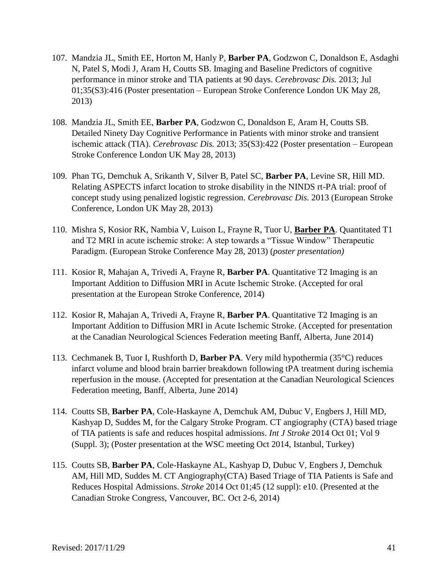- 107. Mandzia JL, Smith EE, Horton M, Hanly P, **Barber PA**, Godzwon C, Donaldson E, Asdaghi N, Patel S, Modi J, Aram H, Coutts SB. Imaging and Baseline Predictors of cognitive performance in minor stroke and TIA patients at 90 days. *Cerebrovasc Dis.* 2013; Jul 01;35(S3):416 (Poster presentation – European Stroke Conference London UK May 28, 2013)
- 108. Mandzia JL, Smith EE, **Barber PA**, Godzwon C, Donaldson E, Aram H, Coutts SB. Detailed Ninety Day Cognitive Performance in Patients with minor stroke and transient ischemic attack (TIA). *Cerebrovasc Dis.* 2013; 35(S3):422 (Poster presentation – European Stroke Conference London UK May 28, 2013)
- 109. Phan TG, Demchuk A, Srikanth V, Silver B, Patel SC, **Barber PA**, Levine SR, Hill MD. Relating ASPECTS infarct location to stroke disability in the NINDS rt-PA trial: proof of concept study using penalized logistic regression. *Cerebrovasc Dis.* 2013 (European Stroke Conference, London UK May 28, 2013)
- 110. Mishra S, Kosior RK, Nambia V, Luison L, Frayne R, Tuor U, **Barber PA**. Quantitated T1 and T2 MRI in acute ischemic stroke: A step towards a "Tissue Window" Therapeutic Paradigm. (European Stroke Conference May 28, 2013) (*poster presentation)*
- 111. Kosior R, Mahajan A, Trivedi A, Frayne R, **Barber PA**. Quantitative T2 Imaging is an Important Addition to Diffusion MRI in Acute Ischemic Stroke. (Accepted for oral presentation at the European Stroke Conference, 2014)
- 112. Kosior R, Mahajan A, Trivedi A, Frayne R, **Barber PA**. Quantitative T2 Imaging is an Important Addition to Diffusion MRI in Acute Ischemic Stroke. (Accepted for presentation at the Canadian Neurological Sciences Federation meeting Banff, Alberta, June 2014)
- 113. Cechmanek B, Tuor I, Rushforth D, **Barber PA**. Very mild hypothermia (35°C) reduces infarct volume and blood brain barrier breakdown following tPA treatment during ischemia reperfusion in the mouse. (Accepted for presentation at the Canadian Neurological Sciences Federation meeting, Banff, Alberta, June 2014)
- 114. Coutts SB, **Barber PA**, Cole-Haskayne A, Demchuk AM, Dubuc V, Engbers J, Hill MD, Kashyap D, Suddes M, for the Calgary Stroke Program. CT angiography (CTA) based triage of TIA patients is safe and reduces hospital admissions. *Int J Stroke* 2014 Oct 01; Vol 9 (Suppl. 3); (Poster presentation at the WSC meeting Oct 2014, Istanbul, Turkey)
- 115. Coutts SB, **Barber PA**, Cole-Haskayne AL, Kashyap D, Dubuc V, Engbers J, Demchuk AM, Hill MD, Suddes M. CT Angiography(CTA) Based Triage of TIA Patients is Safe and Reduces Hospital Admissions. *Stroke* 2014 Oct 01;45 (12 suppl): e10. (Presented at the Canadian Stroke Congress, Vancouver, BC. Oct 2-6, 2014)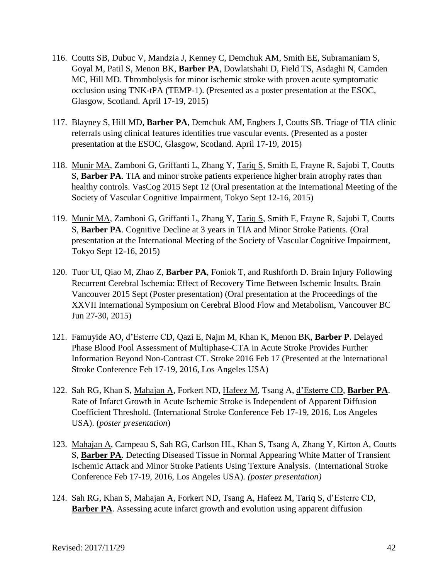- 116. Coutts SB, Dubuc V, Mandzia J, Kenney C, Demchuk AM, Smith EE, Subramaniam S, Goyal M, Patil S, Menon BK, **Barber PA**, Dowlatshahi D, Field TS, Asdaghi N, Camden MC, Hill MD. Thrombolysis for minor ischemic stroke with proven acute symptomatic occlusion using TNK-tPA (TEMP-1). (Presented as a poster presentation at the ESOC, Glasgow, Scotland. April 17-19, 2015)
- 117. Blayney S, Hill MD, **Barber PA**, Demchuk AM, Engbers J, Coutts SB. Triage of TIA clinic referrals using clinical features identifies true vascular events. (Presented as a poster presentation at the ESOC, Glasgow, Scotland. April 17-19, 2015)
- 118. Munir MA, Zamboni G, Griffanti L, Zhang Y, Tariq S, Smith E, Frayne R, Sajobi T, Coutts S, **Barber PA**. TIA and minor stroke patients experience higher brain atrophy rates than healthy controls. VasCog 2015 Sept 12 (Oral presentation at the International Meeting of the Society of Vascular Cognitive Impairment, Tokyo Sept 12-16, 2015)
- 119. Munir MA, Zamboni G, Griffanti L, Zhang Y, Tariq S, Smith E, Frayne R, Sajobi T, Coutts S, **Barber PA**. Cognitive Decline at 3 years in TIA and Minor Stroke Patients. (Oral presentation at the International Meeting of the Society of Vascular Cognitive Impairment, Tokyo Sept 12-16, 2015)
- 120. Tuor UI, Qiao M, Zhao Z, **Barber PA**, Foniok T, and Rushforth D. Brain Injury Following Recurrent Cerebral Ischemia: Effect of Recovery Time Between Ischemic Insults. Brain Vancouver 2015 Sept (Poster presentation) (Oral presentation at the Proceedings of the XXVII International Symposium on Cerebral Blood Flow and Metabolism, Vancouver BC Jun 27-30, 2015)
- 121. Famuyide AO, d'Esterre CD, Qazi E, Najm M, Khan K, Menon BK, **Barber P**. Delayed Phase Blood Pool Assessment of Multiphase-CTA in Acute Stroke Provides Further Information Beyond Non-Contrast CT. Stroke 2016 Feb 17 (Presented at the International Stroke Conference Feb 17-19, 2016, Los Angeles USA)
- 122. Sah RG, Khan S, Mahajan A, Forkert ND, Hafeez M, Tsang A, d'Esterre CD, **Barber PA**. Rate of Infarct Growth in Acute Ischemic Stroke is Independent of Apparent Diffusion Coefficient Threshold. (International Stroke Conference Feb 17-19, 2016, Los Angeles USA). (*poster presentation*)
- 123. Mahajan A, Campeau S, Sah RG, Carlson HL, Khan S, Tsang A, Zhang Y, Kirton A, Coutts S, **Barber PA**. Detecting Diseased Tissue in Normal Appearing White Matter of Transient Ischemic Attack and Minor Stroke Patients Using Texture Analysis. (International Stroke Conference Feb 17-19, 2016, Los Angeles USA). *(poster presentation)*
- 124. Sah RG, Khan S, Mahajan A, Forkert ND, Tsang A, Hafeez M, Tariq S, d'Esterre CD, **Barber PA**. Assessing acute infarct growth and evolution using apparent diffusion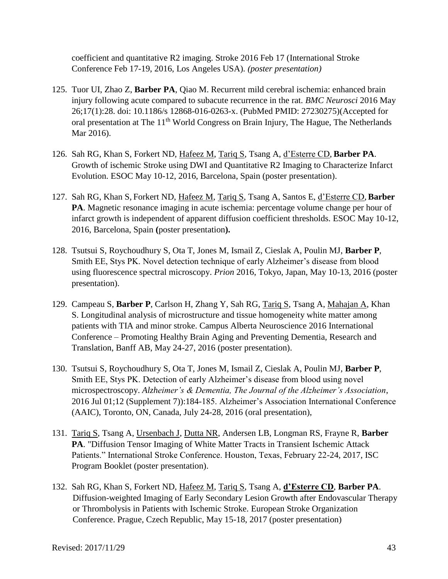coefficient and quantitative R2 imaging. Stroke 2016 Feb 17 (International Stroke Conference Feb 17-19, 2016, Los Angeles USA). *(poster presentation)*

- 125. Tuor UI, Zhao Z, **Barber PA**, Qiao M. Recurrent mild cerebral ischemia: enhanced brain injury following acute compared to subacute recurrence in the rat. *BMC Neurosci* 2016 May 26;17(1):28. doi: 10.1186/s 12868-016-0263-x. (PubMed PMID: 27230275)(Accepted for oral presentation at The 11<sup>th</sup> World Congress on Brain Injury, The Hague, The Netherlands Mar 2016).
- 126. Sah RG, Khan S, Forkert ND, Hafeez M, Tariq S, Tsang A, d'Esterre CD, **Barber PA**. Growth of ischemic Stroke using DWI and Quantitative R2 Imaging to Characterize Infarct Evolution. ESOC May 10-12, 2016, Barcelona, Spain (poster presentation).
- 127. Sah RG, Khan S, Forkert ND, Hafeez M, Tariq S, Tsang A, Santos E, d'Esterre CD, **Barber PA**. Magnetic resonance imaging in acute ischemia: percentage volume change per hour of infarct growth is independent of apparent diffusion coefficient thresholds. ESOC May 10-12, 2016, Barcelona, Spain **(**poster presentation**).**
- 128. Tsutsui S, Roychoudhury S, Ota T, Jones M, Ismail Z, Cieslak A, Poulin MJ, **Barber P**, Smith EE, Stys PK. Novel detection technique of early Alzheimer's disease from blood using fluorescence spectral microscopy. *Prion* 2016, Tokyo, Japan, May 10-13, 2016 (poster presentation).
- 129. Campeau S, **Barber P**, Carlson H, Zhang Y, Sah RG, Tariq S, Tsang A, Mahajan A, Khan S. Longitudinal analysis of microstructure and tissue homogeneity white matter among patients with TIA and minor stroke. Campus Alberta Neuroscience 2016 International Conference – Promoting Healthy Brain Aging and Preventing Dementia, Research and Translation, Banff AB, May 24-27, 2016 (poster presentation).
- 130. Tsutsui S, Roychoudhury S, Ota T, Jones M, Ismail Z, Cieslak A, Poulin MJ, **Barber P**, Smith EE, Stys PK. Detection of early Alzheimer's disease from blood using novel microspectroscopy. *Alzheimer's & Dementia, The Journal of the Alzheimer's Association*, 2016 Jul 01;12 (Supplement 7)):184-185. Alzheimer's Association International Conference (AAIC), Toronto, ON, Canada, July 24-28, 2016 (oral presentation),
- 131. Tariq S, Tsang A, Ursenbach J, Dutta NR, Andersen LB, Longman RS, Frayne R, **Barber PA**. "Diffusion Tensor Imaging of White Matter Tracts in Transient Ischemic Attack Patients." International Stroke Conference. Houston, Texas, February 22-24, 2017, ISC Program Booklet (poster presentation).
- 132. Sah RG, Khan S, Forkert ND, Hafeez M, Tariq S, Tsang A, **d'Esterre CD**, **Barber PA**. Diffusion-weighted Imaging of Early Secondary Lesion Growth after Endovascular Therapy or Thrombolysis in Patients with Ischemic Stroke. European Stroke Organization Conference. Prague, Czech Republic, May 15-18, 2017 (poster presentation)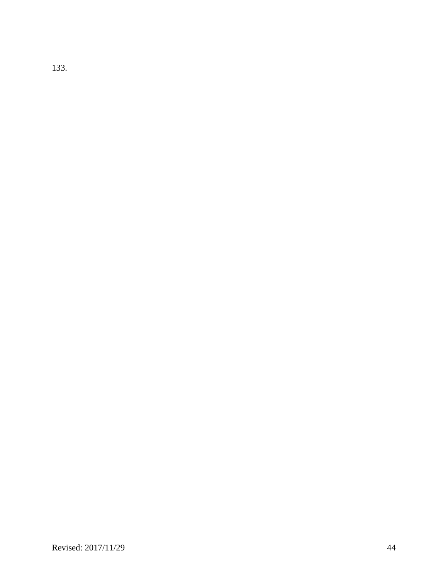133.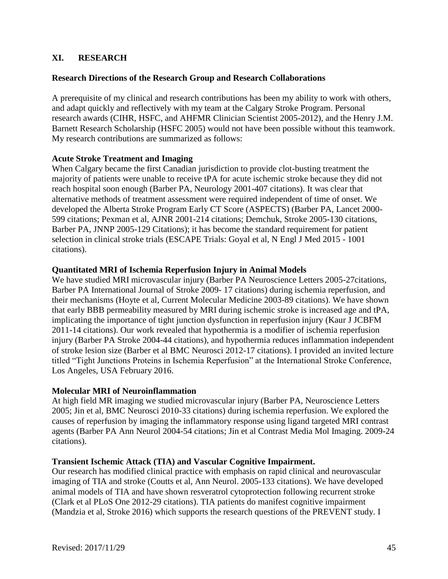# **XI. RESEARCH**

### **Research Directions of the Research Group and Research Collaborations**

A prerequisite of my clinical and research contributions has been my ability to work with others, and adapt quickly and reflectively with my team at the Calgary Stroke Program. Personal research awards (CIHR, HSFC, and AHFMR Clinician Scientist 2005-2012), and the Henry J.M. Barnett Research Scholarship (HSFC 2005) would not have been possible without this teamwork. My research contributions are summarized as follows:

#### **Acute Stroke Treatment and Imaging**

When Calgary became the first Canadian jurisdiction to provide clot-busting treatment the majority of patients were unable to receive tPA for acute ischemic stroke because they did not reach hospital soon enough (Barber PA, Neurology 2001-407 citations). It was clear that alternative methods of treatment assessment were required independent of time of onset. We developed the Alberta Stroke Program Early CT Score (ASPECTS) (Barber PA, Lancet 2000- 599 citations; Pexman et al, AJNR 2001-214 citations; Demchuk, Stroke 2005-130 citations, Barber PA, JNNP 2005-129 Citations); it has become the standard requirement for patient selection in clinical stroke trials (ESCAPE Trials: Goyal et al, N Engl J Med 2015 - 1001 citations).

#### **Quantitated MRI of Ischemia Reperfusion Injury in Animal Models**

We have studied MRI microvascular injury (Barber PA Neuroscience Letters 2005-27citations, Barber PA International Journal of Stroke 2009- 17 citations) during ischemia reperfusion, and their mechanisms (Hoyte et al, Current Molecular Medicine 2003-89 citations). We have shown that early BBB permeability measured by MRI during ischemic stroke is increased age and tPA, implicating the importance of tight junction dysfunction in reperfusion injury (Kaur J JCBFM 2011-14 citations). Our work revealed that hypothermia is a modifier of ischemia reperfusion injury (Barber PA Stroke 2004-44 citations), and hypothermia reduces inflammation independent of stroke lesion size (Barber et al BMC Neurosci 2012-17 citations). I provided an invited lecture titled "Tight Junctions Proteins in Ischemia Reperfusion" at the International Stroke Conference, Los Angeles, USA February 2016.

#### **Molecular MRI of Neuroinflammation**

At high field MR imaging we studied microvascular injury (Barber PA, Neuroscience Letters 2005; Jin et al, BMC Neurosci 2010-33 citations) during ischemia reperfusion. We explored the causes of reperfusion by imaging the inflammatory response using ligand targeted MRI contrast agents (Barber PA Ann Neurol 2004-54 citations; Jin et al Contrast Media Mol Imaging. 2009-24 citations).

#### **Transient Ischemic Attack (TIA) and Vascular Cognitive Impairment.**

Our research has modified clinical practice with emphasis on rapid clinical and neurovascular imaging of TIA and stroke (Coutts et al, Ann Neurol. 2005-133 citations). We have developed animal models of TIA and have shown resveratrol cytoprotection following recurrent stroke (Clark et al PLoS One 2012-29 citations). TIA patients do manifest cognitive impairment (Mandzia et al, Stroke 2016) which supports the research questions of the PREVENT study. I